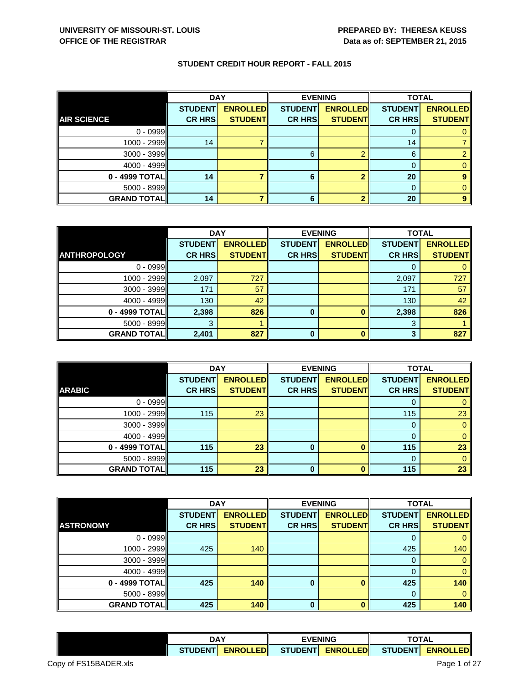| <b>STUDENT CREDIT HOUR REPORT - FALL 2015</b> |  |  |
|-----------------------------------------------|--|--|
|-----------------------------------------------|--|--|

|                    | <b>DAY</b>     |                 | <b>EVENING</b> |                 | <b>TOTAL</b>   |                 |
|--------------------|----------------|-----------------|----------------|-----------------|----------------|-----------------|
|                    | <b>STUDENT</b> | <b>ENROLLED</b> | <b>STUDENT</b> | <b>ENROLLED</b> | <b>STUDENT</b> | <b>ENROLLED</b> |
| <b>AIR SCIENCE</b> | <b>CR HRS</b>  | <b>STUDENT</b>  | <b>CR HRS</b>  | <b>STUDENT</b>  | <b>CR HRS</b>  | <b>STUDENT</b>  |
| $0 - 0999$         |                |                 |                |                 |                |                 |
| $1000 - 2999$      | 14             |                 |                |                 | 14             |                 |
| $3000 - 3999$      |                |                 | 6              | ◠               | 6              |                 |
| $4000 - 4999$      |                |                 |                |                 |                |                 |
| $0 - 4999$ TOTAL   | 14             |                 | 6              |                 | 20             |                 |
| $5000 - 8999$      |                |                 |                |                 | 0              |                 |
| <b>GRAND TOTAL</b> | 14             |                 | 6              |                 | 20             |                 |

|                     | <b>DAY</b>     |                 | <b>EVENING</b> |                 | <b>TOTAL</b>   |                 |
|---------------------|----------------|-----------------|----------------|-----------------|----------------|-----------------|
|                     | <b>STUDENT</b> | <b>ENROLLED</b> | <b>STUDENT</b> | <b>ENROLLED</b> | <b>STUDENT</b> | <b>ENROLLED</b> |
| <b>ANTHROPOLOGY</b> | <b>CR HRS</b>  | <b>STUDENT</b>  | <b>CR HRS</b>  | <b>STUDENT</b>  | <b>CR HRS</b>  | <b>STUDENT</b>  |
| $0 - 0999$          |                |                 |                |                 |                |                 |
| $1000 - 2999$       | 2,097          | 727             |                |                 | 2,097          | 727             |
| $3000 - 3999$       | 171            | 57              |                |                 | 171            | 57              |
| 4000 - 4999         | 130            | 42              |                |                 | 130            | 42              |
| 0 - 4999 TOTAL      | 2,398          | 826             | 0              |                 | 2,398          | 826             |
| $5000 - 8999$       |                |                 |                |                 | 3              |                 |
| <b>GRAND TOTAL</b>  | 2,401          | 827             | 0              | 0               | 3              | 827             |

|                    |                | <b>DAY</b>      | <b>EVENING</b> |                 | <b>TOTAL</b>   |                 |
|--------------------|----------------|-----------------|----------------|-----------------|----------------|-----------------|
|                    | <b>STUDENT</b> | <b>ENROLLED</b> | <b>STUDENT</b> | <b>ENROLLED</b> | <b>STUDENT</b> | <b>ENROLLED</b> |
| <b>ARABIC</b>      | <b>CR HRS</b>  | <b>STUDENT</b>  | <b>CR HRS</b>  | <b>STUDENT</b>  | <b>CR HRS</b>  | <b>STUDENT</b>  |
| $0 - 0999$         |                |                 |                |                 |                |                 |
| 1000 - 2999        | 115            | 23              |                |                 | 115            | 23              |
| $3000 - 3999$      |                |                 |                |                 | 0              |                 |
| $4000 - 4999$      |                |                 |                |                 |                |                 |
| 0 - 4999 TOTAL     | 115            | 23              | $\bf{0}$       |                 | 115            | 23              |
| $5000 - 8999$      |                |                 |                |                 |                |                 |
| <b>GRAND TOTAL</b> | 115            | 23              | 0              |                 | 115            | 23              |

|                    | <b>DAY</b>     |                 | <b>EVENING</b> |                 | <b>TOTAL</b>   |                 |
|--------------------|----------------|-----------------|----------------|-----------------|----------------|-----------------|
|                    | <b>STUDENT</b> | <b>ENROLLED</b> | <b>STUDENT</b> | <b>ENROLLED</b> | <b>STUDENT</b> | <b>ENROLLED</b> |
| <b>ASTRONOMY</b>   | <b>CR HRS</b>  | <b>STUDENT</b>  | <b>CR HRS</b>  | <b>STUDENT</b>  | <b>CR HRS</b>  | <b>STUDENT</b>  |
| $0 - 0999$         |                |                 |                |                 |                |                 |
| $1000 - 2999$      | 425            | 140             |                |                 | 425            | 140             |
| $3000 - 3999$      |                |                 |                |                 | 0              | 0               |
| 4000 - 4999        |                |                 |                |                 |                |                 |
| $0 - 4999$ TOTAL   | 425            | 140             | 0              |                 | 425            | 140             |
| $5000 - 8999$      |                |                 |                |                 | $\Omega$       | $\Omega$        |
| <b>GRAND TOTAL</b> | 425            | 140             | $\bf{0}$       | $\mathbf{a}$    | 425            | 140             |

|                       | <b>DAY</b>      |                 | <b>EVENING</b> |                                   | <b>TOTAL</b> |              |  |
|-----------------------|-----------------|-----------------|----------------|-----------------------------------|--------------|--------------|--|
|                       | <b>STUDENTI</b> | <b>ENROLLED</b> |                | STUDENT ENROLLED STUDENT ENROLLED |              |              |  |
| Copy of FS15BADER.xls |                 |                 |                |                                   |              | Page 1 of 27 |  |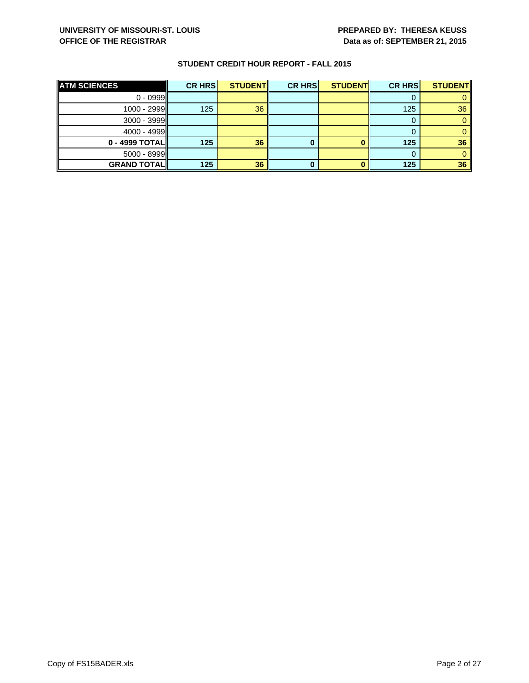| <b>ATM SCIENCES</b> | <b>CR HRS</b> | <b>STUDENT</b> | <b>CR HRS</b> | <b>STUDENT</b> | <b>CR HRS</b> | <b>STUDENT</b>  |
|---------------------|---------------|----------------|---------------|----------------|---------------|-----------------|
| $0 - 0999$          |               |                |               |                |               |                 |
| $1000 - 2999$       | 125           | 36             |               |                | 125           | 36 <sup>°</sup> |
| $3000 - 3999$       |               |                |               |                |               |                 |
| $4000 - 4999$       |               |                |               |                |               |                 |
| $0 - 4999$ TOTAL    | 125           | 36             |               |                | 125           | 36 <sup>°</sup> |
| $5000 - 8999$       |               |                |               |                |               |                 |
| <b>GRAND TOTAL</b>  | 125           | 36             |               |                | 125           | 36              |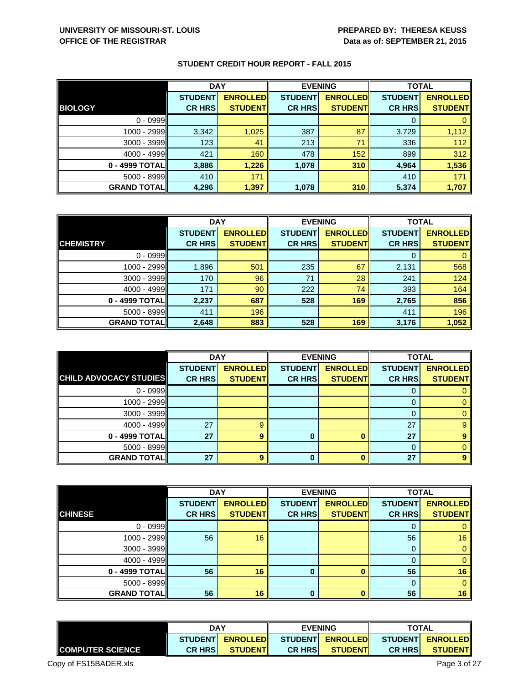|                    | <b>DAY</b>     |                 | <b>EVENING</b> |                 | <b>TOTAL</b>   |                 |
|--------------------|----------------|-----------------|----------------|-----------------|----------------|-----------------|
|                    | <b>STUDENT</b> | <b>ENROLLED</b> | <b>STUDENT</b> | <b>ENROLLED</b> | <b>STUDENT</b> | <b>ENROLLED</b> |
| <b>BIOLOGY</b>     | <b>CR HRS</b>  | <b>STUDENT</b>  | <b>CR HRS</b>  | <b>STUDENT</b>  | <b>CR HRS</b>  | <b>STUDENT</b>  |
| $0 - 0999$         |                |                 |                |                 | 0              |                 |
| 1000 - 2999        | 3,342          | 1,025           | 387            | 87              | 3,729          | 1,112           |
| $3000 - 3999$      | 123            | 41              | 213            | 71              | 336            | 112             |
| $4000 - 4999$      | 421            | 160             | 478            | 152             | 899            | 312             |
| $0 - 4999$ TOTAL   | 3,886          | 1,226           | 1,078          | 310             | 4,964          | 1,536           |
| $5000 - 8999$      | 410            | 171             |                |                 | 410            | 171             |
| <b>GRAND TOTAL</b> | 4,296          | 1,397           | 1,078          | 310             | 5,374          | 1,707           |

|                    | <b>DAY</b>     |                 |                | <b>EVENING</b>  |                | <b>TOTAL</b>    |  |
|--------------------|----------------|-----------------|----------------|-----------------|----------------|-----------------|--|
|                    | <b>STUDENT</b> | <b>ENROLLED</b> | <b>STUDENT</b> | <b>ENROLLED</b> | <b>STUDENT</b> | <b>ENROLLED</b> |  |
| <b>CHEMISTRY</b>   | <b>CR HRS</b>  | <b>STUDENT</b>  | <b>CR HRS</b>  | <b>STUDENT</b>  | <b>CR HRS</b>  | <b>STUDENT</b>  |  |
| $0 - 0999$         |                |                 |                |                 |                |                 |  |
| 1000 - 2999        | 1,896          | 501             | 235            | 67              | 2,131          | 568             |  |
| $3000 - 3999$      | 170            | 96              | 71             | 28              | 241            | 124             |  |
| 4000 - 4999        | 171            | 90              | 222            | 74              | 393            | 164             |  |
| 0 - 4999 TOTAL     | 2,237          | 687             | 528            | 169             | 2,765          | 856             |  |
| $5000 - 8999$      | 411            | 196             |                |                 | 411            | 196             |  |
| <b>GRAND TOTAL</b> | 2,648          | 883             | 528            | 169             | 3,176          | 1,052           |  |

|                               | <b>DAY</b>     |                 |                | <b>EVENING</b>  | <b>TOTAL</b>   |                 |
|-------------------------------|----------------|-----------------|----------------|-----------------|----------------|-----------------|
|                               | <b>STUDENT</b> | <b>ENROLLED</b> | <b>STUDENT</b> | <b>ENROLLED</b> | <b>STUDENT</b> | <b>ENROLLED</b> |
| <b>CHILD ADVOCACY STUDIES</b> | <b>CR HRS</b>  | <b>STUDENT</b>  | <b>CR HRS</b>  | <b>STUDENT</b>  | <b>CR HRS</b>  | <b>STUDENT</b>  |
| $0 - 0999$                    |                |                 |                |                 | O              |                 |
| 1000 - 2999                   |                |                 |                |                 |                |                 |
| $3000 - 3999$                 |                |                 |                |                 | 0              |                 |
| 4000 - 4999                   | 27             | 9               |                |                 | 27             | 9               |
| 0 - 4999 TOTAL                | 27             | 9               | 0              |                 | 27             |                 |
| $5000 - 8999$                 |                |                 |                |                 | 0              |                 |
| <b>GRAND TOTAL</b>            | 27             | 9               | 0              |                 | 27             |                 |

| <b>DAY</b>         |                |                 | <b>EVENING</b> |                 |                | <b>TOTAL</b>    |
|--------------------|----------------|-----------------|----------------|-----------------|----------------|-----------------|
|                    | <b>STUDENT</b> | <b>ENROLLED</b> | <b>STUDENT</b> | <b>ENROLLED</b> | <b>STUDENT</b> | <b>ENROLLED</b> |
| <b>CHINESE</b>     | <b>CR HRS</b>  | <b>STUDENT</b>  | <b>CR HRS</b>  | <b>STUDENT</b>  | <b>CR HRS</b>  | <b>STUDENT</b>  |
| $0 - 0999$         |                |                 |                |                 |                | 0               |
| $1000 - 2999$      | 56             | 16              |                |                 | 56             | 16              |
| $3000 - 3999$      |                |                 |                |                 | O              | $\mathbf{0}$    |
| $4000 - 4999$      |                |                 |                |                 |                | $\mathbf{0}$    |
| 0 - 4999 TOTAL     | 56             | 16              | $\bf{0}$       |                 | 56             | 16              |
| $5000 - 8999$      |                |                 |                |                 | 0              | $\overline{0}$  |
| <b>GRAND TOTAL</b> | 56             | 16              | $\bf{0}$       |                 | 56             | 16              |

|                         | <b>DAY</b>                         |                | <b>EVENING</b> |                  | <b>TOTAL</b>   |                  |
|-------------------------|------------------------------------|----------------|----------------|------------------|----------------|------------------|
|                         | <b>ENROLLEDI</b><br><b>STUDENT</b> |                |                | STUDENT ENROLLED |                | STUDENT ENROLLED |
| <b>COMPUTER SCIENCE</b> | <b>CR HRSI</b>                     | <b>STUDENT</b> | <b>CR HRSI</b> | <b>STUDENTI</b>  | <b>CR HRSI</b> | <b>STUDENT</b>   |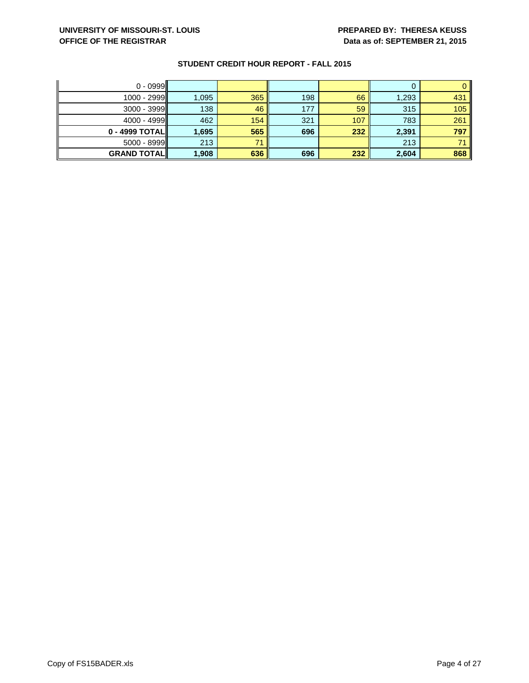| $0 - 0999$         |       |     |     |     |       |     |
|--------------------|-------|-----|-----|-----|-------|-----|
| 1000 - 2999        | 1,095 | 365 | 198 | 66  | 1,293 | 431 |
| $3000 - 3999$      | 138   | 46  | 177 | 59  | 315   | 105 |
| $4000 - 4999$      | 462   | 154 | 321 | 107 | 783   | 261 |
| $0 - 4999$ TOTAL   | 1,695 | 565 | 696 | 232 | 2,391 | 797 |
| $5000 - 8999$      | 213   | 71  |     |     | 213   | 74  |
| <b>GRAND TOTAL</b> | 1,908 | 636 | 696 | 232 | 2,604 | 868 |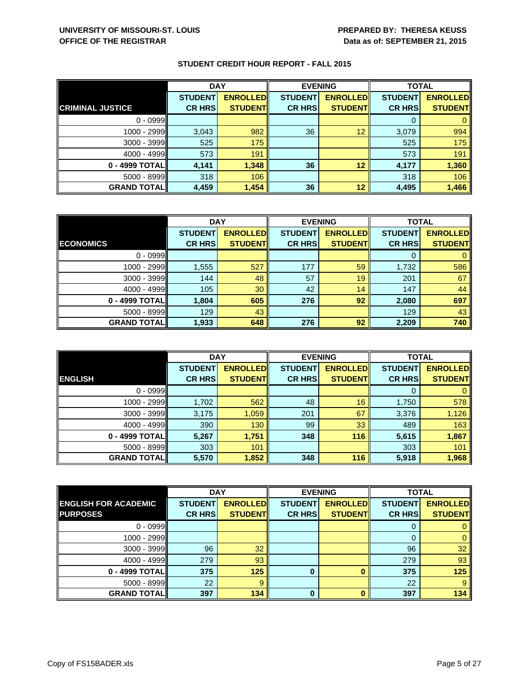|                         | <b>DAY</b>     |                 | <b>EVENING</b> |                 | <b>TOTAL</b>   |                 |
|-------------------------|----------------|-----------------|----------------|-----------------|----------------|-----------------|
|                         | <b>STUDENT</b> | <b>ENROLLED</b> | <b>STUDENT</b> | <b>ENROLLED</b> | <b>STUDENT</b> | <b>ENROLLED</b> |
| <b>CRIMINAL JUSTICE</b> | <b>CR HRS</b>  | <b>STUDENT</b>  | <b>CR HRS</b>  | <b>STUDENT</b>  | <b>CR HRS</b>  | <b>STUDENT</b>  |
| $0 - 0999$              |                |                 |                |                 |                |                 |
| $1000 - 2999$           | 3,043          | 982             | 36             | 12              | 3,079          | 994             |
| $3000 - 3999$           | 525            | 175             |                |                 | 525            | 175             |
| $4000 - 4999$           | 573            | 191             |                |                 | 573            | 191             |
| 0 - 4999 TOTAL          | 4,141          | 1,348           | 36             | 12              | 4,177          | 1,360           |
| $5000 - 8999$           | 318            | 106             |                |                 | 318            | 106             |
| <b>GRAND TOTAL</b>      | 4,459          | 1,454           | 36             | 12              | 4,495          | 1,466           |

|                    | <b>DAY</b>     |                 |                | <b>EVENING</b>  |                | <b>TOTAL</b>    |  |
|--------------------|----------------|-----------------|----------------|-----------------|----------------|-----------------|--|
|                    | <b>STUDENT</b> | <b>ENROLLED</b> | <b>STUDENT</b> | <b>ENROLLED</b> | <b>STUDENT</b> | <b>ENROLLED</b> |  |
| <b>ECONOMICS</b>   | <b>CR HRS</b>  | <b>STUDENT</b>  | <b>CR HRS</b>  | <b>STUDENT</b>  | <b>CR HRS</b>  | <b>STUDENT</b>  |  |
| $0 - 0999$         |                |                 |                |                 | 0              |                 |  |
| 1000 - 2999        | 1,555          | 527             | 177            | 59              | 1,732          | 586             |  |
| 3000 - 3999        | 144            | 48              | 57             | 19              | 201            | 67              |  |
| $4000 - 4999$      | 105            | 30              | 42             | 14              | 147            | 44              |  |
| 0 - 4999 TOTAL     | 1,804          | 605             | 276            | 92              | 2,080          | 697             |  |
| 5000 - 8999        | 129            | 43              |                |                 | 129            | 43              |  |
| <b>GRAND TOTAL</b> | 1,933          | 648             | 276            | 92              | 2,209          | 740             |  |

|                    | <b>DAY</b>     |                 |                | <b>EVENING</b>  | <b>TOTAL</b>   |                 |
|--------------------|----------------|-----------------|----------------|-----------------|----------------|-----------------|
|                    | <b>STUDENT</b> | <b>ENROLLED</b> | <b>STUDENT</b> | <b>ENROLLED</b> | <b>STUDENT</b> | <b>ENROLLED</b> |
| <b>ENGLISH</b>     | <b>CR HRS</b>  | <b>STUDENT</b>  | <b>CR HRS</b>  | <b>STUDENT</b>  | <b>CR HRS</b>  | <b>STUDENT</b>  |
| $0 - 0999$         |                |                 |                |                 | O              | 0               |
| $1000 - 2999$      | 1,702          | 562             | 48             | 16              | 1,750          | 578             |
| $3000 - 3999$      | 3,175          | 1,059           | 201            | 67              | 3,376          | 1,126           |
| $4000 - 4999$      | 390            | 130             | 99             | 33              | 489            | 163             |
| 0 - 4999 TOTAL     | 5,267          | 1,751           | 348            | 116             | 5,615          | 1,867           |
| $5000 - 8999$      | 303            | 101             |                |                 | 303            | 101             |
| <b>GRAND TOTAL</b> | 5,570          | 1,852           | 348            | 116             | 5,918          | 1,968           |

|                             | <b>DAY</b>     |                 |                | <b>EVENING</b>  | <b>TOTAL</b>   |                 |
|-----------------------------|----------------|-----------------|----------------|-----------------|----------------|-----------------|
| <b>ENGLISH FOR ACADEMIC</b> | <b>STUDENT</b> | <b>ENROLLED</b> | <b>STUDENT</b> | <b>ENROLLED</b> | <b>STUDENT</b> | <b>ENROLLED</b> |
| <b>PURPOSES</b>             | <b>CR HRS</b>  | <b>STUDENT</b>  | <b>CR HRS</b>  | <b>STUDENT</b>  | <b>CR HRS</b>  | <b>STUDENT</b>  |
| $0 - 0999$                  |                |                 |                |                 | O              |                 |
| $1000 - 2999$               |                |                 |                |                 | $\Omega$       | 0               |
| $3000 - 3999$               | 96             | 32              |                |                 | 96             | 32              |
| $4000 - 4999$               | 279            | 93              |                |                 | 279            | 93              |
| 0 - 4999 TOTAL              | 375            | 125             | $\bf{0}$       |                 | 375            | 125             |
| $5000 - 8999$               | 22             | 9               |                |                 | 22             | 9               |
| <b>GRAND TOTAL</b>          | 397            | $134$           | $\bf{0}$       |                 | 397            | 134             |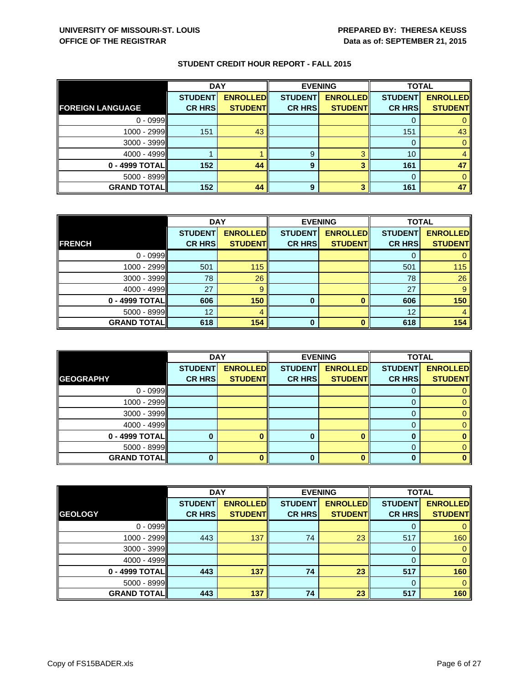|                         | <b>DAY</b>     |                 | <b>EVENING</b> |                 | <b>TOTAL</b>   |                 |
|-------------------------|----------------|-----------------|----------------|-----------------|----------------|-----------------|
|                         | <b>STUDENT</b> | <b>ENROLLED</b> | <b>STUDENT</b> | <b>ENROLLED</b> | <b>STUDENT</b> | <b>ENROLLED</b> |
| <b>FOREIGN LANGUAGE</b> | <b>CR HRS</b>  | <b>STUDENT</b>  | <b>CR HRS</b>  | <b>STUDENT</b>  | <b>CR HRS</b>  | <b>STUDENT</b>  |
| $0 - 0999$              |                |                 |                |                 | O              |                 |
| 1000 - 2999             | 151            | 43              |                |                 | 151            | 43              |
| 3000 - 3999             |                |                 |                |                 | 0              |                 |
| 4000 - 4999             |                |                 | 9              | 2               | 10             |                 |
| $0 - 4999$ TOTAL        | 152            | 44              | 9              |                 | 161            | 47              |
| $5000 - 8999$           |                |                 |                |                 | $\Omega$       |                 |
| <b>GRAND TOTAL</b>      | 152            | 44              | 9              |                 | 161            | 47              |

|                    | <b>DAY</b>     |                 | <b>EVENING</b> |                 | <b>TOTAL</b>   |                 |
|--------------------|----------------|-----------------|----------------|-----------------|----------------|-----------------|
|                    | <b>STUDENT</b> | <b>ENROLLED</b> | <b>STUDENT</b> | <b>ENROLLED</b> | <b>STUDENT</b> | <b>ENROLLED</b> |
| <b>FRENCH</b>      | <b>CR HRS</b>  | <b>STUDENT</b>  | <b>CR HRS</b>  | <b>STUDENT</b>  | <b>CR HRS</b>  | <b>STUDENT</b>  |
| $0 - 0999$         |                |                 |                |                 |                |                 |
| 1000 - 2999        | 501            | 115             |                |                 | 501            | 115             |
| $3000 - 3999$      | 78             | 26              |                |                 | 78             | 26              |
| $4000 - 4999$      | 27             | 9               |                |                 | 27             | 9               |
| 0 - 4999 TOTAL     | 606            | 150             | 0              |                 | 606            | 150             |
| $5000 - 8999$      | 12             | 4               |                |                 | 12             |                 |
| <b>GRAND TOTAL</b> | 618            | 154             | $\bf{0}$       |                 | 618            | 154             |

|                    | <b>DAY</b>     |                 | <b>EVENING</b> |                 | <b>TOTAL</b>   |                 |
|--------------------|----------------|-----------------|----------------|-----------------|----------------|-----------------|
|                    | <b>STUDENT</b> | <b>ENROLLED</b> | <b>STUDENT</b> | <b>ENROLLED</b> | <b>STUDENT</b> | <b>ENROLLED</b> |
| <b>GEOGRAPHY</b>   | <b>CR HRS</b>  | <b>STUDENT</b>  | <b>CR HRS</b>  | <b>STUDENT</b>  | <b>CR HRS</b>  | <b>STUDENT</b>  |
| $0 - 0999$         |                |                 |                |                 |                |                 |
| $1000 - 2999$      |                |                 |                |                 |                |                 |
| $3000 - 3999$      |                |                 |                |                 |                |                 |
| $4000 - 4999$      |                |                 |                |                 |                |                 |
| 0 - 4999 TOTAL     |                |                 | O              |                 | 0              |                 |
| $5000 - 8999$      |                |                 |                |                 | $\Omega$       |                 |
| <b>GRAND TOTAL</b> |                |                 | 0              |                 |                |                 |

|                    | <b>DAY</b>     |                 |                | <b>EVENING</b>  | <b>TOTAL</b>   |                 |
|--------------------|----------------|-----------------|----------------|-----------------|----------------|-----------------|
|                    | <b>STUDENT</b> | <b>ENROLLED</b> | <b>STUDENT</b> | <b>ENROLLED</b> | <b>STUDENT</b> | <b>ENROLLED</b> |
| <b>GEOLOGY</b>     | <b>CR HRS</b>  | <b>STUDENT</b>  | <b>CR HRS</b>  | <b>STUDENT</b>  | <b>CR HRS</b>  | <b>STUDENT</b>  |
| $0 - 0999$         |                |                 |                |                 |                |                 |
| $1000 - 2999$      | 443            | 137             | 74             | 23              | 517            | 160             |
| $3000 - 3999$      |                |                 |                |                 | 0              | 0               |
| 4000 - 4999        |                |                 |                |                 | 0              | 0               |
| $0 - 4999$ TOTAL   | 443            | 137             | 74             | 23              | 517            | 160             |
| $5000 - 8999$      |                |                 |                |                 | 0              | $\Omega$        |
| <b>GRAND TOTAL</b> | 443            | 137             | 74             | 23              | 517            | 160             |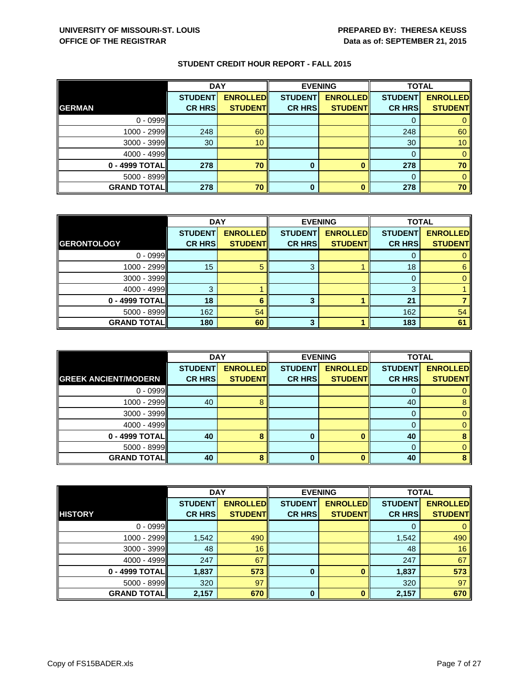|                    | <b>DAY</b>     |                 |                | <b>EVENING</b>  | <b>TOTAL</b>   |                 |
|--------------------|----------------|-----------------|----------------|-----------------|----------------|-----------------|
|                    | <b>STUDENT</b> | <b>ENROLLED</b> | <b>STUDENT</b> | <b>ENROLLED</b> | <b>STUDENT</b> | <b>ENROLLED</b> |
| <b>GERMAN</b>      | <b>CR HRS</b>  | <b>STUDENT</b>  | <b>CR HRS</b>  | <b>STUDENT</b>  | <b>CR HRS</b>  | <b>STUDENT</b>  |
| $0 - 0999$         |                |                 |                |                 |                |                 |
| 1000 - 2999        | 248            | 60              |                |                 | 248            | 60              |
| $3000 - 3999$      | 30             | 10 <sup>°</sup> |                |                 | 30             | 10 <sup>°</sup> |
| $4000 - 4999$      |                |                 |                |                 | 0              |                 |
| 0 - 4999 TOTAL     | 278            | 70              | 0              |                 | 278            | 70              |
| $5000 - 8999$      |                |                 |                |                 | $\Omega$       |                 |
| <b>GRAND TOTAL</b> | 278            | 70              | 0              |                 | 278            | 70              |

|                    | <b>DAY</b>     |                 | <b>EVENING</b> |                 | <b>TOTAL</b>   |                 |
|--------------------|----------------|-----------------|----------------|-----------------|----------------|-----------------|
|                    | <b>STUDENT</b> | <b>ENROLLED</b> | <b>STUDENT</b> | <b>ENROLLED</b> | <b>STUDENT</b> | <b>ENROLLED</b> |
| <b>GERONTOLOGY</b> | <b>CR HRS</b>  | <b>STUDENT</b>  | <b>CR HRS</b>  | <b>STUDENT</b>  | <b>CR HRS</b>  | <b>STUDENT</b>  |
| $0 - 0999$         |                |                 |                |                 |                |                 |
| $1000 - 2999$      | 15             | 5               | 3              |                 | 18             | 6               |
| $3000 - 3999$      |                |                 |                |                 | 0              |                 |
| $4000 - 4999$      | 2              |                 |                |                 | 3              |                 |
| $0 - 4999$ TOTAL   | 18             | 6               | 3              |                 | 21             |                 |
| 5000 - 8999        | 162            | 54              |                |                 | 162            | 54              |
| <b>GRAND TOTAL</b> | 180            | 60              | 3              |                 | 183            | 61              |

|                             | <b>DAY</b>     |                 |                | <b>EVENING</b>  | <b>TOTAL</b>   |                 |
|-----------------------------|----------------|-----------------|----------------|-----------------|----------------|-----------------|
|                             | <b>STUDENT</b> | <b>ENROLLED</b> | <b>STUDENT</b> | <b>ENROLLED</b> | <b>STUDENT</b> | <b>ENROLLED</b> |
| <b>GREEK ANCIENT/MODERN</b> | <b>CR HRS</b>  | <b>STUDENT</b>  | <b>CR HRS</b>  | <b>STUDENT</b>  | <b>CR HRS</b>  | <b>STUDENT</b>  |
| $0 - 0999$                  |                |                 |                |                 | O              |                 |
| $1000 - 2999$               | 40             | 8               |                |                 | 40             | 8               |
| $3000 - 3999$               |                |                 |                |                 | 0              |                 |
| $4000 - 4999$               |                |                 |                |                 | 0              |                 |
| 0 - 4999 TOTAL              | 40             | 8               | 0              |                 | 40             |                 |
| $5000 - 8999$               |                |                 |                |                 | 0              |                 |
| <b>GRAND TOTAL</b>          | 40             |                 | 0              |                 | 40             |                 |

|                    | <b>DAY</b>     |                 |                | <b>EVENING</b>  | <b>TOTAL</b>   |                 |
|--------------------|----------------|-----------------|----------------|-----------------|----------------|-----------------|
|                    | <b>STUDENT</b> | <b>ENROLLED</b> | <b>STUDENT</b> | <b>ENROLLED</b> | <b>STUDENT</b> | <b>ENROLLED</b> |
| <b>HISTORY</b>     | <b>CR HRS</b>  | <b>STUDENT</b>  | <b>CR HRS</b>  | <b>STUDENT</b>  | <b>CR HRS</b>  | <b>STUDENT</b>  |
| $0 - 0999$         |                |                 |                |                 |                |                 |
| $1000 - 2999$      | 1,542          | 490             |                |                 | 1,542          | 490             |
| 3000 - 3999        | 48             | 16              |                |                 | 48             | 16              |
| 4000 - 4999        | 247            | 67              |                |                 | 247            | 67              |
| $0 - 4999$ TOTAL   | 1,837          | 573             | 0              |                 | 1,837          | 573             |
| 5000 - 8999        | 320            | 97              |                |                 | 320            | 97              |
| <b>GRAND TOTAL</b> | 2,157          | 670             | $\bf{0}$       | n               | 2,157          | 670             |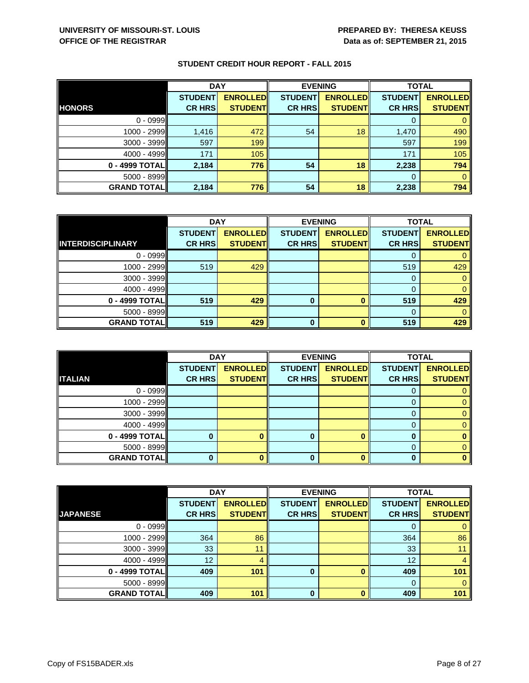|                    | <b>DAY</b>     |                 | <b>EVENING</b> |                 | <b>TOTAL</b>   |                 |
|--------------------|----------------|-----------------|----------------|-----------------|----------------|-----------------|
|                    | <b>STUDENT</b> | <b>ENROLLED</b> | <b>STUDENT</b> | <b>ENROLLED</b> | <b>STUDENT</b> | <b>ENROLLED</b> |
| <b>HONORS</b>      | <b>CR HRS</b>  | <b>STUDENT</b>  | <b>CR HRS</b>  | <b>STUDENT</b>  | <b>CR HRS</b>  | <b>STUDENT</b>  |
| $0 - 0999$         |                |                 |                |                 | 0              |                 |
| 1000 - 2999        | 1,416          | 472             | 54             | 18              | 1,470          | 490             |
| 3000 - 3999        | 597            | 199             |                |                 | 597            | 199             |
| 4000 - 4999        | 171            | 105             |                |                 | 171            | 105             |
| $0 - 4999$ TOTAL   | 2,184          | 776             | 54             | 18              | 2,238          | 794             |
| 5000 - 8999        |                |                 |                |                 | $\Omega$       | $\Omega$        |
| <b>GRAND TOTAL</b> | 2,184          | 776             | 54             | 18              | 2,238          | 794             |

|                          | <b>DAY</b>     |                 | <b>EVENING</b> |                 | <b>TOTAL</b>   |                 |
|--------------------------|----------------|-----------------|----------------|-----------------|----------------|-----------------|
|                          | <b>STUDENT</b> | <b>ENROLLED</b> | <b>STUDENT</b> | <b>ENROLLED</b> | <b>STUDENT</b> | <b>ENROLLED</b> |
| <b>INTERDISCIPLINARY</b> | <b>CR HRS</b>  | <b>STUDENT</b>  | <b>CR HRS</b>  | <b>STUDENT</b>  | <b>CR HRS</b>  | <b>STUDENT</b>  |
| $0 - 0999$               |                |                 |                |                 |                |                 |
| 1000 - 2999              | 519            | 429             |                |                 | 519            | 429             |
| $3000 - 3999$            |                |                 |                |                 |                |                 |
| $4000 - 4999$            |                |                 |                |                 |                |                 |
| 0 - 4999 TOTAL           | 519            | 429             | 0              |                 | 519            | 429             |
| $5000 - 8999$            |                |                 |                |                 |                |                 |
| <b>GRAND TOTAL</b>       | 519            | 429             | 0              |                 | 519            | 429             |

|                    | <b>DAY</b>     |                 |                | <b>EVENING</b>  | <b>TOTAL</b>   |                 |
|--------------------|----------------|-----------------|----------------|-----------------|----------------|-----------------|
|                    | <b>STUDENT</b> | <b>ENROLLED</b> | <b>STUDENT</b> | <b>ENROLLED</b> | <b>STUDENT</b> | <b>ENROLLED</b> |
| <b>ITALIAN</b>     | <b>CR HRS</b>  | <b>STUDENT</b>  | <b>CR HRS</b>  | <b>STUDENT</b>  | <b>CR HRS</b>  | <b>STUDENT</b>  |
| $0 - 0999$         |                |                 |                |                 |                |                 |
| $1000 - 2999$      |                |                 |                |                 |                |                 |
| $3000 - 3999$      |                |                 |                |                 |                |                 |
| $4000 - 4999$      |                |                 |                |                 |                |                 |
| $0 - 4999$ TOTAL   |                |                 | O              |                 |                |                 |
| $5000 - 8999$      |                |                 |                |                 | 0              |                 |
| <b>GRAND TOTAL</b> |                |                 | 0              |                 |                |                 |

|                    | <b>DAY</b>     |                 | <b>EVENING</b> |                 | <b>TOTAL</b>   |                 |
|--------------------|----------------|-----------------|----------------|-----------------|----------------|-----------------|
|                    | <b>STUDENT</b> | <b>ENROLLED</b> | <b>STUDENT</b> | <b>ENROLLED</b> | <b>STUDENT</b> | <b>ENROLLED</b> |
| <b>JAPANESE</b>    | <b>CR HRS</b>  | <b>STUDENT</b>  | <b>CR HRS</b>  | <b>STUDENT</b>  | <b>CR HRS</b>  | <b>STUDENT</b>  |
| $0 - 0999$         |                |                 |                |                 |                |                 |
| $1000 - 2999$      | 364            | 86              |                |                 | 364            | 86              |
| $3000 - 3999$      | 33             | 11              |                |                 | 33             |                 |
| $4000 - 4999$      | 12             | 4               |                |                 | 12             |                 |
| 0 - 4999 TOTAL     | 409            | 101             | 0              |                 | 409            | 101             |
| $5000 - 8999$      |                |                 |                |                 | 0              | $\Omega$        |
| <b>GRAND TOTAL</b> | 409            | 101             | $\Omega$       |                 | 409            | 101             |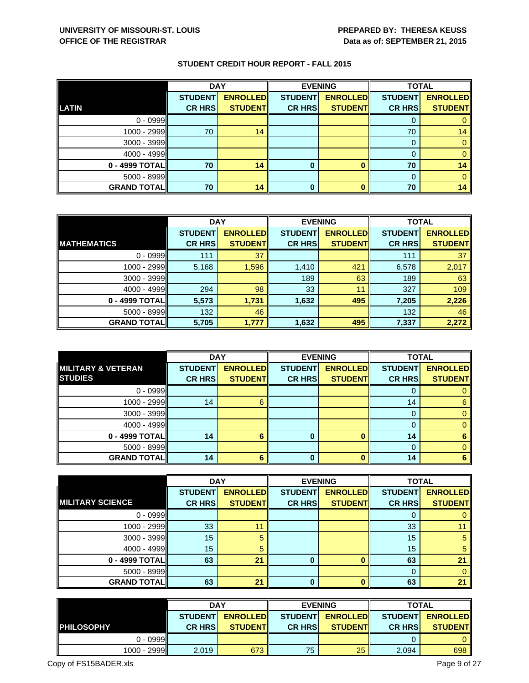|                    | <b>DAY</b>     |                 |                | <b>EVENING</b>  |                | <b>TOTAL</b>    |  |
|--------------------|----------------|-----------------|----------------|-----------------|----------------|-----------------|--|
|                    | <b>STUDENT</b> | <b>ENROLLED</b> | <b>STUDENT</b> | <b>ENROLLED</b> | <b>STUDENT</b> | <b>ENROLLED</b> |  |
| <b>LATIN</b>       | <b>CR HRS</b>  | <b>STUDENT</b>  | <b>CR HRS</b>  | <b>STUDENT</b>  | <b>CR HRS</b>  | <b>STUDENT</b>  |  |
| $0 - 0999$         |                |                 |                |                 | υ              |                 |  |
| $1000 - 2999$      | 70             | 14              |                |                 | 70             | 14              |  |
| $3000 - 3999$      |                |                 |                |                 | 0              |                 |  |
| $4000 - 4999$      |                |                 |                |                 | O              |                 |  |
| 0 - 4999 TOTAL     | 70             | 14              | 0              |                 | 70             | 14              |  |
| $5000 - 8999$      |                |                 |                |                 | $\Omega$       |                 |  |
| <b>GRAND TOTAL</b> | 70             | 14              | 0              |                 | 70             | 14              |  |

|                    | <b>DAY</b>     |                 | <b>EVENING</b> |                 | <b>TOTAL</b>   |                 |
|--------------------|----------------|-----------------|----------------|-----------------|----------------|-----------------|
|                    | <b>STUDENT</b> | <b>ENROLLED</b> | <b>STUDENT</b> | <b>ENROLLED</b> | <b>STUDENT</b> | <b>ENROLLED</b> |
| <b>MATHEMATICS</b> | <b>CR HRS</b>  | <b>STUDENT</b>  | <b>CR HRS</b>  | <b>STUDENT</b>  | <b>CR HRS</b>  | <b>STUDENT</b>  |
| $0 - 0999$         | 111            | 37              |                |                 | 111            | 37              |
| $1000 - 2999$      | 5,168          | 1,596           | 1,410          | 421             | 6,578          | 2,017           |
| $3000 - 3999$      |                |                 | 189            | 63              | 189            | 63              |
| $4000 - 4999$      | 294            | 98              | 33             | 11              | 327            | 109             |
| 0 - 4999 TOTAL     | 5,573          | 1,731           | 1,632          | 495             | 7,205          | 2,226           |
| $5000 - 8999$      | 132            | 46              |                |                 | 132            | 46              |
| <b>GRAND TOTAL</b> | 5,705          | 1,777           | 1,632          | 495             | 7,337          | 2,272           |

|                               | <b>DAY</b>     |                 |                | <b>EVENING</b>  | <b>TOTAL</b>   |                 |
|-------------------------------|----------------|-----------------|----------------|-----------------|----------------|-----------------|
| <b>MILITARY &amp; VETERAN</b> | <b>STUDENT</b> | <b>ENROLLED</b> | <b>STUDENT</b> | <b>ENROLLED</b> | <b>STUDENT</b> | <b>ENROLLED</b> |
| <b>STUDIES</b>                | <b>CR HRS</b>  | <b>STUDENT</b>  | <b>CR HRS</b>  | <b>STUDENT</b>  | <b>CR HRS</b>  | <b>STUDENT</b>  |
| $0 - 0999$                    |                |                 |                |                 | O              |                 |
| $1000 - 2999$                 | 14             | 6               |                |                 | 14             | 6               |
| $3000 - 3999$                 |                |                 |                |                 | 0              |                 |
| $4000 - 4999$                 |                |                 |                |                 | 0              |                 |
| 0 - 4999 TOTAL                | 14             | 6               | 0              |                 | 14             |                 |
| $5000 - 8999$                 |                |                 |                |                 | 0              |                 |
| <b>GRAND TOTAL</b>            | 14             | 6               | $\bf{0}$       |                 | 14             |                 |

|                         | <b>DAY</b>     |                 | <b>EVENING</b> |                 | <b>TOTAL</b>   |                 |
|-------------------------|----------------|-----------------|----------------|-----------------|----------------|-----------------|
|                         | <b>STUDENT</b> | <b>ENROLLED</b> | <b>STUDENT</b> | <b>ENROLLED</b> | <b>STUDENT</b> | <b>ENROLLED</b> |
| <b>MILITARY SCIENCE</b> | <b>CR HRS</b>  | <b>STUDENT</b>  | <b>CR HRS</b>  | <b>STUDENT</b>  | <b>CR HRS</b>  | <b>STUDENT</b>  |
| $0 - 0999$              |                |                 |                |                 |                |                 |
| $1000 - 2999$           | 33             | 11              |                |                 | 33             | 11              |
| $3000 - 3999$           | 15             | 5               |                |                 | 15             | 5               |
| 4000 - 4999             | 15             | 5               |                |                 | 15             | $5\phantom{.0}$ |
| 0 - 4999 TOTAL          | 63             | 21              | 0              |                 | 63             | 21              |
| $5000 - 8999$           |                |                 |                |                 | 0              | $\mathbf{0}$    |
| <b>GRAND TOTAL</b>      | 63             | 21              | 0              |                 | 63             | 21              |

|                    | <b>DAY</b>     |                 |                | <b>EVENING</b>  | <b>TOTAL</b>   |                 |
|--------------------|----------------|-----------------|----------------|-----------------|----------------|-----------------|
|                    | <b>STUDENT</b> | <b>ENROLLED</b> | <b>STUDENT</b> | <b>ENROLLED</b> | <b>STUDENT</b> | <b>ENROLLED</b> |
| <b>IPHILOSOPHY</b> | <b>CR HRS</b>  | <b>STUDENTI</b> | <b>CR HRS</b>  | <b>STUDENTI</b> | <b>CR HRSI</b> | <b>STUDENT</b>  |
| $0 - 0999$         |                |                 |                |                 |                | 0               |
| $1000 - 2999$      | 2,019          | 673             | 75             | 25              | 2,094          | 698             |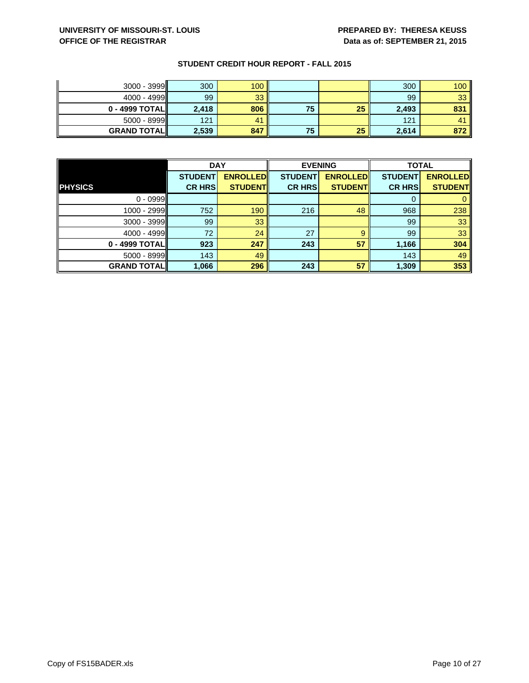| $3000 - 3999$      | 300   | 100 |    |    | 300   | 100            |
|--------------------|-------|-----|----|----|-------|----------------|
| 4000 - 4999        | 99    | 33  |    |    | 99    | 33             |
| 0 - 4999 TOTAL     | 2,418 | 806 | 75 | 25 | 2,493 | 831            |
| $5000 - 8999$      | 121   | 41  |    |    | 121   | 4 <sup>1</sup> |
| <b>GRAND TOTAL</b> | 2,539 | 847 | 75 | 25 | 2,614 | 872            |

|                    | <b>DAY</b>     |                 |                | <b>EVENING</b>  | <b>TOTAL</b>   |                 |
|--------------------|----------------|-----------------|----------------|-----------------|----------------|-----------------|
|                    | <b>STUDENT</b> | <b>ENROLLED</b> | <b>STUDENT</b> | <b>ENROLLED</b> | <b>STUDENT</b> | <b>ENROLLED</b> |
| <b>PHYSICS</b>     | <b>CR HRS</b>  | <b>STUDENT</b>  | <b>CR HRS</b>  | <b>STUDENT</b>  | <b>CR HRS</b>  | <b>STUDENT</b>  |
| $0 - 0999$         |                |                 |                |                 |                |                 |
| 1000 - 2999        | 752            | 190             | 216            | 48              | 968            | 238             |
| $3000 - 3999$      | 99             | 33              |                |                 | 99             | 33              |
| $4000 - 4999$      | 72             | 24              | 27             | 9               | 99             | 33              |
| $0 - 4999$ TOTAL   | 923            | 247             | 243            | 57              | 1,166          | 304             |
| $5000 - 8999$      | 143            | 49              |                |                 | 143            | 49              |
| <b>GRAND TOTAL</b> | 1,066          | 296             | 243            | 57              | 1,309          | 353             |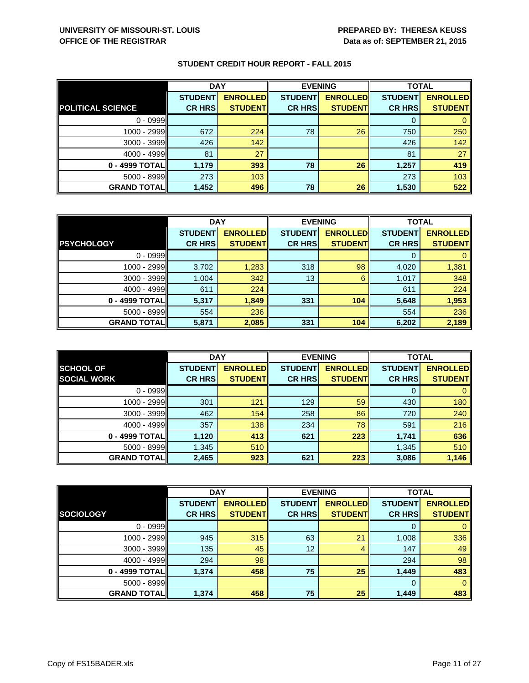|                          | <b>DAY</b>     |                 |                | <b>EVENING</b>  | <b>TOTAL</b>   |                 |
|--------------------------|----------------|-----------------|----------------|-----------------|----------------|-----------------|
|                          | <b>STUDENT</b> | <b>ENROLLED</b> | <b>STUDENT</b> | <b>ENROLLED</b> | <b>STUDENT</b> | <b>ENROLLED</b> |
| <b>POLITICAL SCIENCE</b> | <b>CR HRS</b>  | <b>STUDENT</b>  | <b>CR HRS</b>  | <b>STUDENT</b>  | <b>CR HRS</b>  | <b>STUDENT</b>  |
| $0 - 0999$               |                |                 |                |                 | 0              |                 |
| 1000 - 2999              | 672            | 224             | 78             | 26              | 750            | 250             |
| 3000 - 3999              | 426            | 142             |                |                 | 426            | 142             |
| 4000 - 4999              | 81             | 27              |                |                 | 81             | 27              |
| $0 - 4999$ TOTAL         | 1,179          | 393             | 78             | 26              | 1,257          | 419             |
| 5000 - 8999              | 273            | 103             |                |                 | 273            | 103             |
| <b>GRAND TOTAL</b>       | 1,452          | 496             | 78             | 26              | 1,530          | 522             |

|                    | <b>DAY</b>     |                 | <b>EVENING</b> |                 | <b>TOTAL</b>   |                 |
|--------------------|----------------|-----------------|----------------|-----------------|----------------|-----------------|
|                    | <b>STUDENT</b> | <b>ENROLLED</b> | <b>STUDENT</b> | <b>ENROLLED</b> | <b>STUDENT</b> | <b>ENROLLED</b> |
| <b>PSYCHOLOGY</b>  | <b>CR HRS</b>  | <b>STUDENT</b>  | <b>CR HRS</b>  | <b>STUDENT</b>  | <b>CR HRS</b>  | <b>STUDENT</b>  |
| $0 - 0999$         |                |                 |                |                 |                |                 |
| $1000 - 2999$      | 3,702          | 1,283           | 318            | 98              | 4,020          | 1,381           |
| $3000 - 3999$      | 1,004          | 342             | 13             | 6               | 1,017          | 348             |
| $4000 - 4999$      | 611            | 224             |                |                 | 611            | 224             |
| 0 - 4999 TOTAL     | 5,317          | 1,849           | 331            | 104             | 5,648          | 1,953           |
| $5000 - 8999$      | 554            | 236             |                |                 | 554            | 236             |
| <b>GRAND TOTAL</b> | 5,871          | 2,085           | 331            | 104             | 6,202          | 2,189           |

|                    | <b>DAY</b>     |                 |                | <b>EVENING</b>  | <b>TOTAL</b>   |                 |
|--------------------|----------------|-----------------|----------------|-----------------|----------------|-----------------|
| <b>SCHOOL OF</b>   | <b>STUDENT</b> | <b>ENROLLED</b> | <b>STUDENT</b> | <b>ENROLLED</b> | <b>STUDENT</b> | <b>ENROLLED</b> |
| <b>SOCIAL WORK</b> | <b>CR HRS</b>  | <b>STUDENT</b>  | <b>CR HRS</b>  | <b>STUDENT</b>  | <b>CR HRS</b>  | <b>STUDENT</b>  |
| $0 - 0999$         |                |                 |                |                 | O              |                 |
| $1000 - 2999$      | 301            | 121             | 129            | 59              | 430            | 180             |
| $3000 - 3999$      | 462            | 154             | 258            | 86              | 720            | 240             |
| $4000 - 4999$      | 357            | 138             | 234            | 78              | 591            | 216             |
| 0 - 4999 TOTAL     | 1,120          | 413             | 621            | 223             | 1,741          | 636             |
| $5000 - 8999$      | 1,345          | 510             |                |                 | 1,345          | 510             |
| <b>GRAND TOTAL</b> | 2,465          | 923             | 621            | 223             | 3,086          | 1,146           |

|                    | <b>DAY</b>     |                 | <b>EVENING</b> |                 | <b>TOTAL</b>   |                 |
|--------------------|----------------|-----------------|----------------|-----------------|----------------|-----------------|
|                    | <b>STUDENT</b> | <b>ENROLLED</b> | <b>STUDENT</b> | <b>ENROLLED</b> | <b>STUDENT</b> | <b>ENROLLED</b> |
| <b>SOCIOLOGY</b>   | <b>CR HRS</b>  | <b>STUDENT</b>  | <b>CR HRS</b>  | <b>STUDENT</b>  | <b>CR HRS</b>  | <b>STUDENT</b>  |
| $0 - 0999$         |                |                 |                |                 |                |                 |
| $1000 - 2999$      | 945            | 315             | 63             | 21              | 1,008          | 336             |
| 3000 - 3999        | 135            | 45              | 12             | 4               | 147            | 49              |
| 4000 - 4999        | 294            | 98              |                |                 | 294            | 98              |
| $0 - 4999$ TOTAL   | 1,374          | 458             | 75             | 25              | 1,449          | 483             |
| $5000 - 8999$      |                |                 |                |                 | $\Omega$       | 0               |
| <b>GRAND TOTAL</b> | 1,374          | 458             | 75             | 25              | 1,449          | 483             |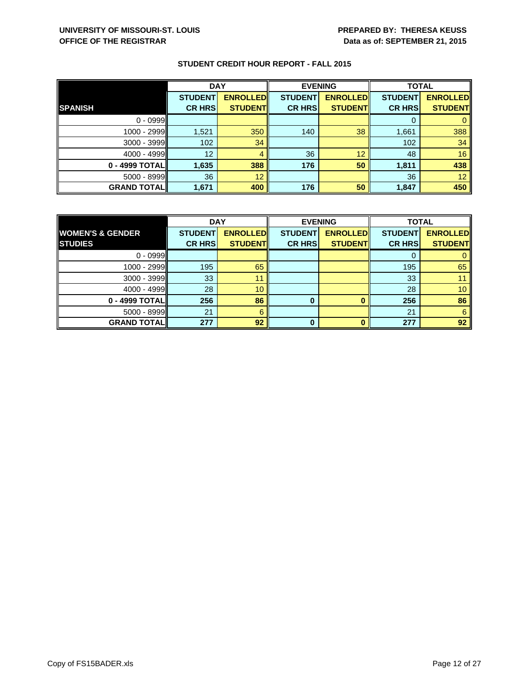|                    | <b>DAY</b>     |                 | <b>EVENING</b> |                 | <b>TOTAL</b>   |                 |
|--------------------|----------------|-----------------|----------------|-----------------|----------------|-----------------|
|                    | <b>STUDENT</b> | <b>ENROLLED</b> | <b>STUDENT</b> | <b>ENROLLED</b> | <b>STUDENT</b> | <b>ENROLLED</b> |
| <b>SPANISH</b>     | <b>CR HRS</b>  | <b>STUDENT</b>  | <b>CR HRS</b>  | <b>STUDENT</b>  | <b>CR HRS</b>  | <b>STUDENT</b>  |
| $0 - 0999$         |                |                 |                |                 | 0              |                 |
| 1000 - 2999        | 1,521          | 350             | 140            | 38              | 1,661          | 388             |
| $3000 - 3999$      | 102            | 34              |                |                 | 102            | 34              |
| $4000 - 4999$      | 12             | 4               | 36             | 12              | 48             | 16              |
| $0 - 4999$ TOTAL   | 1,635          | 388             | 176            | 50              | 1,811          | 438             |
| $5000 - 8999$      | 36             | 12              |                |                 | 36             | 12              |
| <b>GRAND TOTAL</b> | 1,671          | 400             | 176            | 50              | 1,847          | 450             |

|                             | <b>DAY</b>     |                 |                | <b>EVENING</b>  | <b>TOTAL</b>   |                 |
|-----------------------------|----------------|-----------------|----------------|-----------------|----------------|-----------------|
| <b>WOMEN'S &amp; GENDER</b> | <b>STUDENT</b> | <b>ENROLLED</b> | <b>STUDENT</b> | <b>ENROLLED</b> | <b>STUDENT</b> | <b>ENROLLED</b> |
| <b>STUDIES</b>              | <b>CR HRS</b>  | <b>STUDENT</b>  | <b>CR HRS</b>  | <b>STUDENT</b>  | <b>CR HRS</b>  | <b>STUDENT</b>  |
| $0 - 0999$                  |                |                 |                |                 |                |                 |
| $1000 - 2999$               | 195            | 65              |                |                 | 195            | 65              |
| $3000 - 3999$               | 33             | 11              |                |                 | 33             |                 |
| $4000 - 4999$               | 28             | 10              |                |                 | 28             | 10              |
| $0 - 4999$ TOTAL            | 256            | 86              | 0              |                 | 256            | 86              |
| $5000 - 8999$               | 21             | 6               |                |                 | 21             | 6               |
| <b>GRAND TOTAL</b>          | 277            | 92              | 0              |                 | 277            | 92              |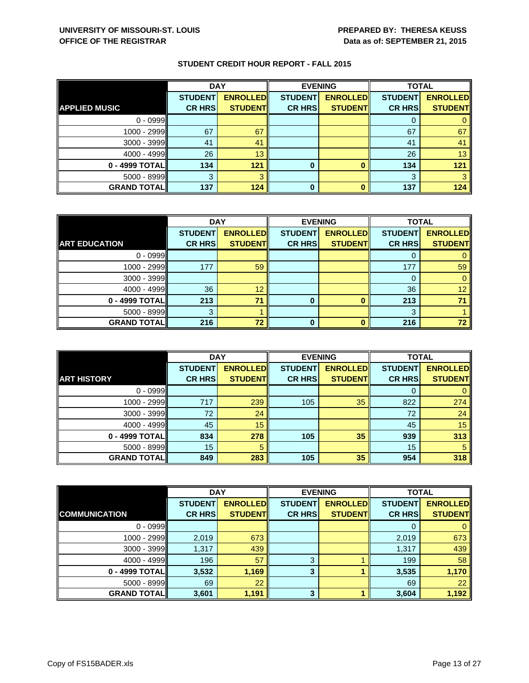|                      | <b>DAY</b>     |                 |                | <b>EVENING</b>  |                | <b>TOTAL</b>    |  |
|----------------------|----------------|-----------------|----------------|-----------------|----------------|-----------------|--|
|                      | <b>STUDENT</b> | <b>ENROLLED</b> | <b>STUDENT</b> | <b>ENROLLED</b> | <b>STUDENT</b> | <b>ENROLLED</b> |  |
| <b>APPLIED MUSIC</b> | <b>CR HRS</b>  | <b>STUDENT</b>  | <b>CR HRS</b>  | <b>STUDENT</b>  | <b>CR HRS</b>  | <b>STUDENT</b>  |  |
| $0 - 0999$           |                |                 |                |                 |                |                 |  |
| 1000 - 2999          | 67             | 67              |                |                 | 67             | 67              |  |
| $3000 - 3999$        | 41             | 41              |                |                 | 41             | 41              |  |
| $4000 - 4999$        | 26             | 13              |                |                 | 26             | 13              |  |
| 0 - 4999 TOTAL       | 134            | 121             | 0              |                 | 134            | 121             |  |
| $5000 - 8999$        | 3              |                 |                |                 | 3              |                 |  |
| <b>GRAND TOTAL</b>   | 137            | 124             | 0              |                 | 137            | 124             |  |

|                      | <b>DAY</b>     |                 | <b>EVENING</b> |                 | <b>TOTAL</b>   |                 |
|----------------------|----------------|-----------------|----------------|-----------------|----------------|-----------------|
|                      | <b>STUDENT</b> | <b>ENROLLED</b> | <b>STUDENT</b> | <b>ENROLLED</b> | <b>STUDENT</b> | <b>ENROLLED</b> |
| <b>ART EDUCATION</b> | <b>CR HRS</b>  | <b>STUDENT</b>  | <b>CR HRS</b>  | <b>STUDENT</b>  | <b>CR HRS</b>  | <b>STUDENT</b>  |
| $0 - 0999$           |                |                 |                |                 |                |                 |
| $1000 - 2999$        | 177            | 59              |                |                 | 177            | 59              |
| $3000 - 3999$        |                |                 |                |                 |                |                 |
| $4000 - 4999$        | 36             | 12              |                |                 | 36             | 12              |
| $0 - 4999$ TOTAL     | 213            | 71              | 0              |                 | 213            |                 |
| $5000 - 8999$        |                |                 |                |                 | 3              |                 |
| <b>GRAND TOTAL</b>   | 216            | 72              | 0              |                 | 216            | 72              |

|                    | <b>DAY</b>     |                 |                | <b>EVENING</b>  | <b>TOTAL</b>   |                 |
|--------------------|----------------|-----------------|----------------|-----------------|----------------|-----------------|
|                    | <b>STUDENT</b> | <b>ENROLLED</b> | <b>STUDENT</b> | <b>ENROLLED</b> | <b>STUDENT</b> | <b>ENROLLED</b> |
| <b>ART HISTORY</b> | <b>CR HRS</b>  | <b>STUDENT</b>  | <b>CR HRS</b>  | <b>STUDENT</b>  | <b>CR HRS</b>  | <b>STUDENT</b>  |
| $0 - 0999$         |                |                 |                |                 | O              |                 |
| $1000 - 2999$      | 717            | 239             | 105            | 35              | 822            | 274             |
| $3000 - 3999$      | 72             | 24              |                |                 | 72             | 24              |
| $4000 - 4999$      | 45             | 15              |                |                 | 45             | 15              |
| 0 - 4999 TOTAL     | 834            | 278             | 105            | 35              | 939            | 313             |
| $5000 - 8999$      | 15             | 5               |                |                 | 15             | 5               |
| <b>GRAND TOTAL</b> | 849            | 283             | 105            | 35              | 954            | 318             |

|                      | <b>DAY</b>     |                 |                | <b>EVENING</b>  | <b>TOTAL</b>   |                 |
|----------------------|----------------|-----------------|----------------|-----------------|----------------|-----------------|
|                      | <b>STUDENT</b> | <b>ENROLLED</b> | <b>STUDENT</b> | <b>ENROLLED</b> | <b>STUDENT</b> | <b>ENROLLED</b> |
| <b>COMMUNICATION</b> | <b>CR HRS</b>  | <b>STUDENT</b>  | <b>CR HRS</b>  | <b>STUDENT</b>  | <b>CR HRS</b>  | <b>STUDENT</b>  |
| $0 - 0999$           |                |                 |                |                 |                |                 |
| $1000 - 2999$        | 2,019          | 673             |                |                 | 2,019          | 673             |
| $3000 - 3999$        | 1,317          | 439             |                |                 | 1,317          | 439             |
| $4000 - 4999$        | 196            | 57              | 3              |                 | 199            | 58              |
| 0 - 4999 TOTAL       | 3,532          | 1,169           | 3              |                 | 3,535          | 1,170           |
| $5000 - 8999$        | 69             | 22              |                |                 | 69             | 22              |
| <b>GRAND TOTAL</b>   | 3,601          | 1,191           | 3              |                 | 3,604          | 1,192           |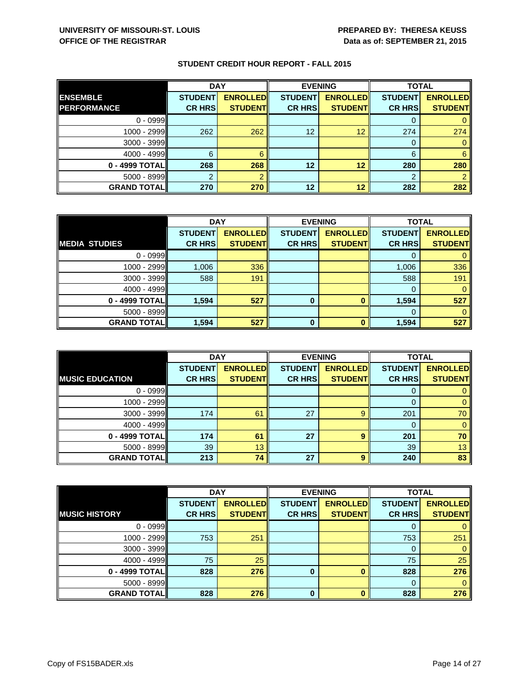|                    | <b>DAY</b>     |                 |                | <b>EVENING</b>  | <b>TOTAL</b>   |                 |
|--------------------|----------------|-----------------|----------------|-----------------|----------------|-----------------|
| <b>ENSEMBLE</b>    | <b>STUDENT</b> | <b>ENROLLED</b> | <b>STUDENT</b> | <b>ENROLLED</b> | <b>STUDENT</b> | <b>ENROLLED</b> |
| <b>PERFORMANCE</b> | <b>CR HRS</b>  | <b>STUDENT</b>  | <b>CR HRS</b>  | <b>STUDENT</b>  | <b>CR HRS</b>  | <b>STUDENT</b>  |
| $0 - 0999$         |                |                 |                |                 |                |                 |
| 1000 - 2999        | 262            | 262             | 12             | 12              | 274            | 274             |
| $3000 - 3999$      |                |                 |                |                 | $\Omega$       |                 |
| $4000 - 4999$      | 6              | 6               |                |                 | 6              | 6               |
| 0 - 4999 TOTAL     | 268            | 268             | 12             | 12              | 280            | 280             |
| $5000 - 8999$      |                |                 |                |                 |                |                 |
| <b>GRAND TOTAL</b> | 270            | 270             | 12             | 12              | 282            | 282             |

|                      | <b>DAY</b>     |                 | <b>EVENING</b> |                 | <b>TOTAL</b>   |                 |
|----------------------|----------------|-----------------|----------------|-----------------|----------------|-----------------|
|                      | <b>STUDENT</b> | <b>ENROLLED</b> | <b>STUDENT</b> | <b>ENROLLED</b> | <b>STUDENT</b> | <b>ENROLLED</b> |
| <b>MEDIA STUDIES</b> | <b>CR HRS</b>  | <b>STUDENT</b>  | <b>CR HRS</b>  | <b>STUDENT</b>  | <b>CR HRS</b>  | <b>STUDENT</b>  |
| $0 - 0999$           |                |                 |                |                 |                |                 |
| $1000 - 2999$        | 1,006          | 336             |                |                 | 1,006          | 336             |
| $3000 - 3999$        | 588            | 191             |                |                 | 588            | 191             |
| $4000 - 4999$        |                |                 |                |                 | $\Omega$       |                 |
| $0 - 4999$ TOTAL     | 1,594          | 527             | 0              |                 | 1,594          | 527             |
| $5000 - 8999$        |                |                 |                |                 |                |                 |
| <b>GRAND TOTAL</b>   | 1,594          | 527             | $\bf{0}$       |                 | 1,594          | 527             |

|                        | <b>DAY</b>     |                 |                | <b>EVENING</b>  | <b>TOTAL</b>   |                 |
|------------------------|----------------|-----------------|----------------|-----------------|----------------|-----------------|
|                        | <b>STUDENT</b> | <b>ENROLLED</b> | <b>STUDENT</b> | <b>ENROLLED</b> | <b>STUDENT</b> | <b>ENROLLED</b> |
| <b>MUSIC EDUCATION</b> | <b>CR HRS</b>  | <b>STUDENT</b>  | <b>CR HRS</b>  | <b>STUDENT</b>  | <b>CR HRS</b>  | <b>STUDENT</b>  |
| $0 - 0999$             |                |                 |                |                 | O              |                 |
| 1000 - 2999            |                |                 |                |                 | 0              |                 |
| 3000 - 3999            | 174            | 61              | 27             | 9               | 201            | 70              |
| $4000 - 4999$          |                |                 |                |                 | 0              | 0               |
| 0 - 4999 TOTAL         | 174            | 61              | 27             | 9               | 201            | 70              |
| $5000 - 8999$          | 39             | 13              |                |                 | 39             | 13              |
| <b>GRAND TOTAL</b>     | 213            | 74              | 27             | 9               | 240            | 83              |

|                      | <b>DAY</b>     |                 | <b>EVENING</b> |                 | <b>TOTAL</b>   |                 |
|----------------------|----------------|-----------------|----------------|-----------------|----------------|-----------------|
|                      | <b>STUDENT</b> | <b>ENROLLED</b> | <b>STUDENT</b> | <b>ENROLLED</b> | <b>STUDENT</b> | <b>ENROLLED</b> |
| <b>MUSIC HISTORY</b> | <b>CR HRS</b>  | <b>STUDENT</b>  | <b>CR HRS</b>  | <b>STUDENT</b>  | <b>CR HRS</b>  | <b>STUDENT</b>  |
| $0 - 0999$           |                |                 |                |                 |                |                 |
| $1000 - 2999$        | 753            | 251             |                |                 | 753            | 251             |
| $3000 - 3999$        |                |                 |                |                 | O              | 0               |
| 4000 - 4999          | 75             | 25              |                |                 | 75             | 25              |
| $0 - 4999$ TOTAL     | 828            | 276             | 0              |                 | 828            | 276             |
| $5000 - 8999$        |                |                 |                |                 | 0              | $\Omega$        |
| <b>GRAND TOTAL</b>   | 828            | 276             | $\Omega$       |                 | 828            | 276             |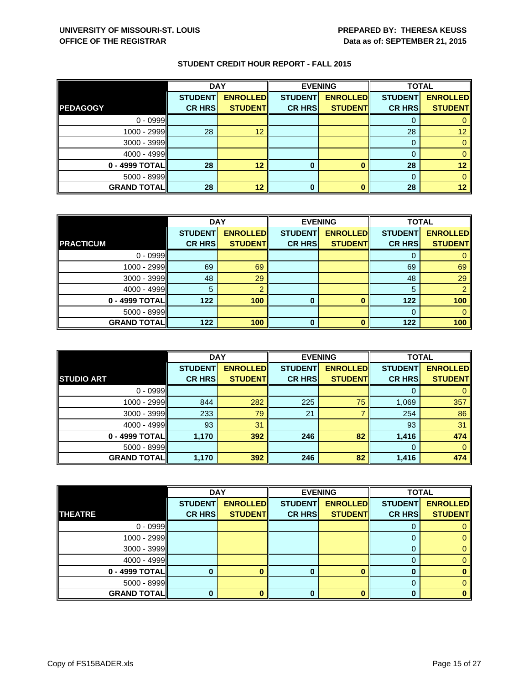|                    | <b>DAY</b>     |                 |                | <b>EVENING</b>  | <b>TOTAL</b>   |                 |
|--------------------|----------------|-----------------|----------------|-----------------|----------------|-----------------|
|                    | <b>STUDENT</b> | <b>ENROLLED</b> | <b>STUDENT</b> | <b>ENROLLED</b> | <b>STUDENT</b> | <b>ENROLLED</b> |
| <b>PEDAGOGY</b>    | <b>CR HRS</b>  | <b>STUDENT</b>  | <b>CR HRS</b>  | <b>STUDENT</b>  | <b>CR HRS</b>  | <b>STUDENT</b>  |
| $0 - 0999$         |                |                 |                |                 | U              |                 |
| $1000 - 2999$      | 28             | 12              |                |                 | 28             | 12              |
| $3000 - 3999$      |                |                 |                |                 | 0              |                 |
| $4000 - 4999$      |                |                 |                |                 | 0              |                 |
| $0 - 4999$ TOTAL   | 28             | 12              | 0              |                 | 28             | 12              |
| $5000 - 8999$      |                |                 |                |                 | $\Omega$       |                 |
| <b>GRAND TOTAL</b> | 28             | 12              | 0              |                 | 28             | 12              |

|                    | <b>DAY</b>     |                 | <b>EVENING</b> |                 | <b>TOTAL</b>   |                 |
|--------------------|----------------|-----------------|----------------|-----------------|----------------|-----------------|
|                    | <b>STUDENT</b> | <b>ENROLLED</b> | <b>STUDENT</b> | <b>ENROLLED</b> | <b>STUDENT</b> | <b>ENROLLED</b> |
| <b>PRACTICUM</b>   | <b>CR HRS</b>  | <b>STUDENT</b>  | <b>CR HRS</b>  | <b>STUDENT</b>  | <b>CR HRS</b>  | <b>STUDENT</b>  |
| $0 - 0999$         |                |                 |                |                 |                |                 |
| 1000 - 2999        | 69             | 69              |                |                 | 69             | 69              |
| $3000 - 3999$      | 48             | 29              |                |                 | 48             | 29              |
| $4000 - 4999$      | 5              |                 |                |                 | 5              |                 |
| 0 - 4999 TOTAL     | 122            | 100             | 0              |                 | 122            | 100             |
| $5000 - 8999$      |                |                 |                |                 |                |                 |
| <b>GRAND TOTAL</b> | 122            | 100             | $\bf{0}$       |                 | 122            | 100             |

|                    | <b>DAY</b>     |                 | <b>EVENING</b> |                 | <b>TOTAL</b>   |                 |
|--------------------|----------------|-----------------|----------------|-----------------|----------------|-----------------|
|                    | <b>STUDENT</b> | <b>ENROLLED</b> | <b>STUDENT</b> | <b>ENROLLED</b> | <b>STUDENT</b> | <b>ENROLLED</b> |
| <b>STUDIO ART</b>  | <b>CR HRS</b>  | <b>STUDENT</b>  | <b>CR HRS</b>  | <b>STUDENT</b>  | <b>CR HRS</b>  | <b>STUDENT</b>  |
| $0 - 0999$         |                |                 |                |                 |                |                 |
| $1000 - 2999$      | 844            | 282             | 225            | 75              | 1,069          | 357             |
| $3000 - 3999$      | 233            | 79              | 21             |                 | 254            | 86              |
| $4000 - 4999$      | 93             | 31              |                |                 | 93             | 31              |
| $0 - 4999$ TOTAL   | 1,170          | 392             | 246            | 82              | 1,416          | 474             |
| $5000 - 8999$      |                |                 |                |                 | $\Omega$       | 0               |
| <b>GRAND TOTAL</b> | 1,170          | 392             | 246            | 82              | 1,416          | 474             |

|                    | <b>DAY</b>     |                 |                | <b>EVENING</b>  | <b>TOTAL</b>   |                 |
|--------------------|----------------|-----------------|----------------|-----------------|----------------|-----------------|
|                    | <b>STUDENT</b> | <b>ENROLLED</b> | <b>STUDENT</b> | <b>ENROLLED</b> | <b>STUDENT</b> | <b>ENROLLED</b> |
| <b>THEATRE</b>     | <b>CR HRS</b>  | <b>STUDENT</b>  | <b>CR HRS</b>  | <b>STUDENT</b>  | <b>CR HRS</b>  | <b>STUDENT</b>  |
| $0 - 0999$         |                |                 |                |                 |                |                 |
| $1000 - 2999$      |                |                 |                |                 |                |                 |
| $3000 - 3999$      |                |                 |                |                 | O              |                 |
| $4000 - 4999$      |                |                 |                |                 |                |                 |
| $0 - 4999$ TOTAL   |                |                 | 0              |                 | 0              |                 |
| $5000 - 8999$      |                |                 |                |                 | 0              |                 |
| <b>GRAND TOTAL</b> |                |                 |                |                 |                |                 |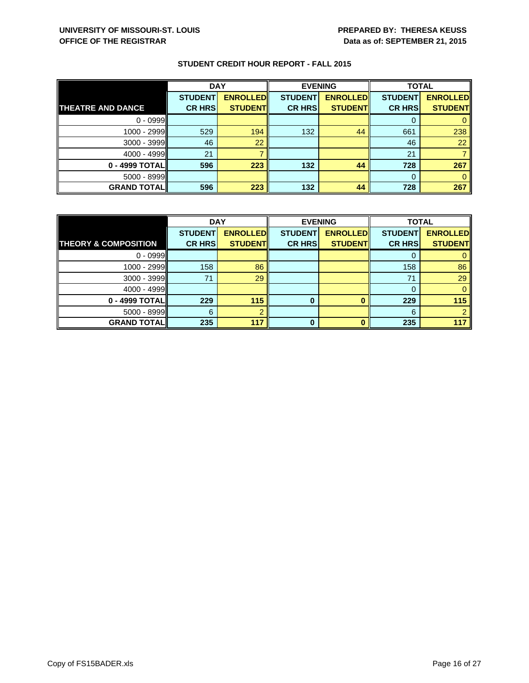|                          | <b>DAY</b>     |                 | <b>EVENING</b> |                 | <b>TOTAL</b>   |                 |
|--------------------------|----------------|-----------------|----------------|-----------------|----------------|-----------------|
|                          | <b>STUDENT</b> | <b>ENROLLED</b> | <b>STUDENT</b> | <b>ENROLLED</b> | <b>STUDENT</b> | <b>ENROLLED</b> |
| <b>THEATRE AND DANCE</b> | <b>CR HRS</b>  | <b>STUDENT</b>  | <b>CR HRS</b>  | <b>STUDENT</b>  | <b>CR HRS</b>  | <b>STUDENT</b>  |
| $0 - 0999$               |                |                 |                |                 |                |                 |
| 1000 - 2999              | 529            | 194             | 132            | 44              | 661            | 238             |
| $3000 - 3999$            | 46             | 22              |                |                 | 46             | 22              |
| $4000 - 4999$            | 21             |                 |                |                 | 21             |                 |
| 0 - 4999 TOTAL           | 596            | 223             | 132            | 44              | 728            | 267             |
| $5000 - 8999$            |                |                 |                |                 | $\Omega$       |                 |
| <b>GRAND TOTAL</b>       | 596            | 223             | 132            | 44              | 728            | 267             |

|                                 | <b>DAY</b>     |                 | <b>EVENING</b> |                 | <b>TOTAL</b>   |                 |
|---------------------------------|----------------|-----------------|----------------|-----------------|----------------|-----------------|
|                                 | <b>STUDENT</b> | <b>ENROLLED</b> | <b>STUDENT</b> | <b>ENROLLED</b> | <b>STUDENT</b> | <b>ENROLLED</b> |
| <b>THEORY &amp; COMPOSITION</b> | <b>CR HRS</b>  | <b>STUDENT</b>  | <b>CR HRS</b>  | <b>STUDENT</b>  | <b>CR HRS</b>  | <b>STUDENT</b>  |
| $0 - 0999$                      |                |                 |                |                 |                |                 |
| 1000 - 2999                     | 158            | 86              |                |                 | 158            | 86              |
| $3000 - 3999$                   | 71             | 29              |                |                 | 71             | 29              |
| $4000 - 4999$                   |                |                 |                |                 | 0              |                 |
| $0 - 4999$ TOTAL                | 229            | 115             | 0              |                 | 229            | 115             |
| $5000 - 8999$                   | 6              |                 |                |                 | 6              |                 |
| <b>GRAND TOTAL</b>              | 235            | 117             | n              |                 | 235            | 117             |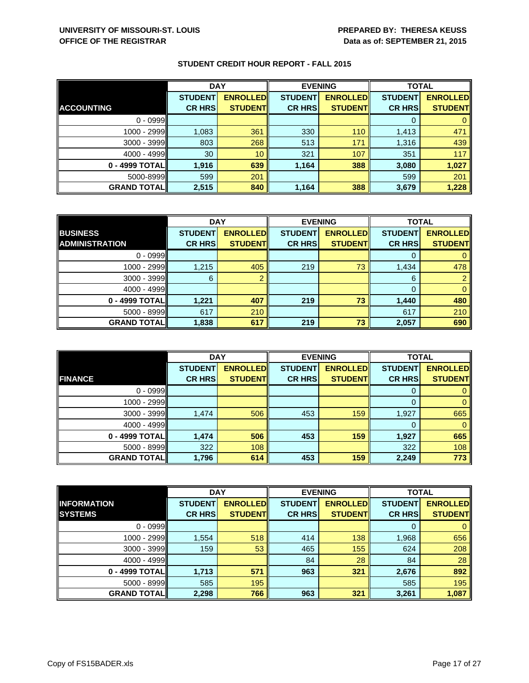|                    | <b>DAY</b>      |                 |                | <b>EVENING</b>  | <b>TOTAL</b>   |                 |
|--------------------|-----------------|-----------------|----------------|-----------------|----------------|-----------------|
|                    | <b>STUDENT</b>  | <b>ENROLLED</b> | <b>STUDENT</b> | <b>ENROLLED</b> | <b>STUDENT</b> | <b>ENROLLED</b> |
| <b>ACCOUNTING</b>  | <b>CR HRS</b>   | <b>STUDENT</b>  | <b>CR HRS</b>  | <b>STUDENT</b>  | <b>CR HRS</b>  | <b>STUDENT</b>  |
| $0 - 0999$         |                 |                 |                |                 | 0              |                 |
| 1000 - 2999        | 1,083           | 361             | 330            | 110             | 1,413          | 471             |
| $3000 - 3999$      | 803             | 268             | 513            | 171             | 1,316          | 439             |
| $4000 - 4999$      | 30 <sup>°</sup> | 10 <sup>°</sup> | 321            | 107             | 351            | 117             |
| $0 - 4999$ TOTAL   | 1,916           | 639             | 1,164          | 388             | 3,080          | 1,027           |
| 5000-8999          | 599             | 201             |                |                 | 599            | 201             |
| <b>GRAND TOTAL</b> | 2,515           | 840             | 1,164          | 388             | 3,679          | 1,228           |

|                       | <b>DAY</b>     |                 | <b>EVENING</b> |                 | <b>TOTAL</b>   |                 |
|-----------------------|----------------|-----------------|----------------|-----------------|----------------|-----------------|
| <b>BUSINESS</b>       | <b>STUDENT</b> | <b>ENROLLED</b> | <b>STUDENT</b> | <b>ENROLLED</b> | <b>STUDENT</b> | <b>ENROLLED</b> |
| <b>ADMINISTRATION</b> | <b>CR HRS</b>  | <b>STUDENT</b>  | <b>CR HRS</b>  | <b>STUDENT</b>  | <b>CR HRS</b>  | <b>STUDENT</b>  |
| $0 - 0999$            |                |                 |                |                 |                |                 |
| $1000 - 2999$         | 1,215          | 405             | 219            | 73              | 1,434          | 478             |
| $3000 - 3999$         | 6              |                 |                |                 | 6              |                 |
| $4000 - 4999$         |                |                 |                |                 | $\Omega$       |                 |
| $0 - 4999$ TOTAL      | 1,221          | 407             | 219            | 73              | 1,440          | 480             |
| $5000 - 8999$         | 617            | 210             |                |                 | 617            | 210             |
| <b>GRAND TOTAL</b>    | 1,838          | 617             | 219            | 73              | 2,057          | 690             |

|                    | <b>DAY</b>     |                 |                | <b>EVENING</b>  | <b>TOTAL</b>   |                 |
|--------------------|----------------|-----------------|----------------|-----------------|----------------|-----------------|
|                    | <b>STUDENT</b> | <b>ENROLLED</b> | <b>STUDENT</b> | <b>ENROLLED</b> | <b>STUDENT</b> | <b>ENROLLED</b> |
| <b>FINANCE</b>     | <b>CR HRS</b>  | <b>STUDENT</b>  | <b>CR HRS</b>  | <b>STUDENT</b>  | <b>CR HRS</b>  | <b>STUDENT</b>  |
| $0 - 0999$         |                |                 |                |                 | 0              | 0               |
| $1000 - 2999$      |                |                 |                |                 | 0              | $\mathbf 0$     |
| $3000 - 3999$      | 1,474          | 506             | 453            | 159             | 1,927          | 665             |
| $4000 - 4999$      |                |                 |                |                 | 0              | 0               |
| 0 - 4999 TOTAL     | 1,474          | 506             | 453            | 159             | 1,927          | 665             |
| $5000 - 8999$      | 322            | 108             |                |                 | 322            | 108             |
| <b>GRAND TOTAL</b> | 1,796          | 614             | 453            | 159             | 2,249          | 773             |

|                    | <b>DAY</b>     |                 |                | <b>EVENING</b>  | <b>TOTAL</b>   |                 |
|--------------------|----------------|-----------------|----------------|-----------------|----------------|-----------------|
| <b>INFORMATION</b> | <b>STUDENT</b> | <b>ENROLLED</b> | <b>STUDENT</b> | <b>ENROLLED</b> | <b>STUDENT</b> | <b>ENROLLED</b> |
| <b>SYSTEMS</b>     | <b>CR HRS</b>  | <b>STUDENT</b>  | <b>CR HRS</b>  | <b>STUDENT</b>  | <b>CR HRS</b>  | <b>STUDENT</b>  |
| $0 - 0999$         |                |                 |                |                 |                |                 |
| 1000 - 2999        | 1,554          | 518             | 414            | 138             | 1,968          | 656             |
| $3000 - 3999$      | 159            | 53              | 465            | 155             | 624            | 208             |
| $4000 - 4999$      |                |                 | 84             | 28              | 84             | 28              |
| 0 - 4999 TOTAL     | 1,713          | 571             | 963            | 321             | 2,676          | 892             |
| $5000 - 8999$      | 585            | 195             |                |                 | 585            | 195             |
| <b>GRAND TOTAL</b> | 2,298          | 766             | 963            | 321             | 3,261          | 1,087           |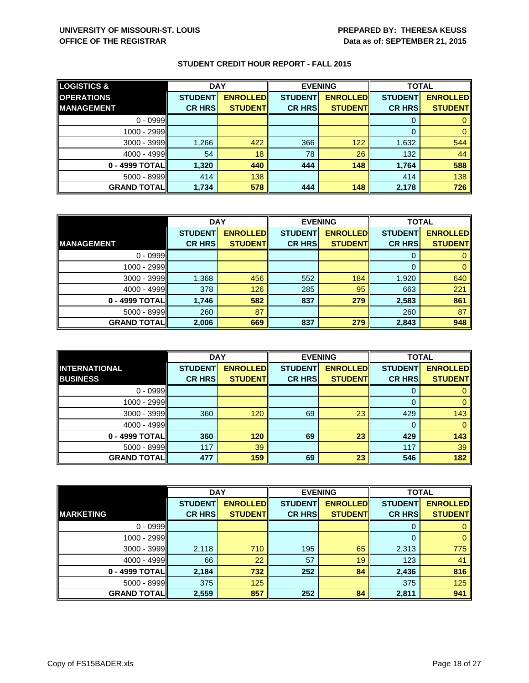| <b>LOGISTICS &amp;</b> | <b>DAY</b>     |                 | <b>EVENING</b> |                 | <b>TOTAL</b>   |                 |
|------------------------|----------------|-----------------|----------------|-----------------|----------------|-----------------|
| <b>OPERATIONS</b>      | <b>STUDENT</b> | <b>ENROLLED</b> | <b>STUDENT</b> | <b>ENROLLED</b> | <b>STUDENT</b> | <b>ENROLLED</b> |
| <b>MANAGEMENT</b>      | <b>CR HRS</b>  | <b>STUDENT</b>  | <b>CR HRS</b>  | <b>STUDENT</b>  | <b>CR HRS</b>  | <b>STUDENT</b>  |
| $0 - 0999$             |                |                 |                |                 |                |                 |
| $1000 - 2999$          |                |                 |                |                 |                |                 |
| $3000 - 3999$          | 1,266          | 422             | 366            | 122             | 1,632          | 544             |
| 4000 - 4999            | 54             | 18              | 78             | 26              | 132            | 44              |
| 0 - 4999 TOTAL         | 1,320          | 440             | 444            | 148             | 1,764          | 588             |
| $5000 - 8999$          | 414            | 138             |                |                 | 414            | 138             |
| <b>GRAND TOTAL</b>     | 1,734          | 578             | 444            | 148             | 2,178          | 726             |

|                    | <b>DAY</b>     |                 | <b>EVENING</b> |                 | <b>TOTAL</b>   |                 |
|--------------------|----------------|-----------------|----------------|-----------------|----------------|-----------------|
|                    | <b>STUDENT</b> | <b>ENROLLED</b> | <b>STUDENT</b> | <b>ENROLLED</b> | <b>STUDENT</b> | <b>ENROLLED</b> |
| <b>MANAGEMENT</b>  | <b>CR HRS</b>  | <b>STUDENT</b>  | <b>CR HRS</b>  | <b>STUDENT</b>  | <b>CR HRS</b>  | <b>STUDENT</b>  |
| $0 - 0999$         |                |                 |                |                 |                |                 |
| $1000 - 2999$      |                |                 |                |                 |                |                 |
| $3000 - 3999$      | 1,368          | 456             | 552            | 184             | 1,920          | 640             |
| $4000 - 4999$      | 378            | 126             | 285            | 95              | 663            | 221             |
| $0 - 4999$ TOTAL   | 1,746          | 582             | 837            | 279             | 2,583          | 861             |
| $5000 - 8999$      | 260            | 87              |                |                 | 260            | 87              |
| <b>GRAND TOTAL</b> | 2,006          | 669             | 837            | 279             | 2,843          | 948             |

|                    | <b>DAY</b>     |                 |                | <b>EVENING</b>  | <b>TOTAL</b>   |                 |
|--------------------|----------------|-----------------|----------------|-----------------|----------------|-----------------|
| INTERNATIONAL      | <b>STUDENT</b> | <b>ENROLLED</b> | <b>STUDENT</b> | <b>ENROLLED</b> | <b>STUDENT</b> | <b>ENROLLED</b> |
| <b>BUSINESS</b>    | <b>CR HRS</b>  | <b>STUDENT</b>  | <b>CR HRS</b>  | <b>STUDENT</b>  | <b>CR HRS</b>  | <b>STUDENT</b>  |
| $0 - 0999$         |                |                 |                |                 |                |                 |
| $1000 - 2999$      |                |                 |                |                 | 0              | 0               |
| $3000 - 3999$      | 360            | 120             | 69             | 23              | 429            | 143             |
| 4000 - 4999        |                |                 |                |                 | 0              |                 |
| 0 - 4999 TOTAL     | 360            | 120             | 69             | 23              | 429            | 143             |
| 5000 - 8999        | 117            | 39              |                |                 | 117            | 39              |
| <b>GRAND TOTAL</b> | 477            | 159             | 69             | 23              | 546            | 182             |

|                    | <b>DAY</b>     |                 |                | <b>EVENING</b>  | <b>TOTAL</b>   |                 |
|--------------------|----------------|-----------------|----------------|-----------------|----------------|-----------------|
|                    | <b>STUDENT</b> | <b>ENROLLED</b> | <b>STUDENT</b> | <b>ENROLLED</b> | <b>STUDENT</b> | <b>ENROLLED</b> |
| <b>MARKETING</b>   | <b>CR HRS</b>  | <b>STUDENT</b>  | <b>CR HRS</b>  | <b>STUDENT</b>  | <b>CR HRS</b>  | <b>STUDENT</b>  |
| $0 - 0999$         |                |                 |                |                 |                |                 |
| $1000 - 2999$      |                |                 |                |                 | $\Omega$       | $\Omega$        |
| $3000 - 3999$      | 2,118          | 710             | 195            | 65              | 2,313          | 775             |
| 4000 - 4999        | 66             | 22              | 57             | 19              | 123            | 41              |
| $0 - 4999$ TOTAL   | 2,184          | 732             | 252            | 84              | 2,436          | 816             |
| 5000 - 8999        | 375            | 125             |                |                 | 375            | 125             |
| <b>GRAND TOTAL</b> | 2,559          | 857             | 252            | 84              | 2,811          | 941             |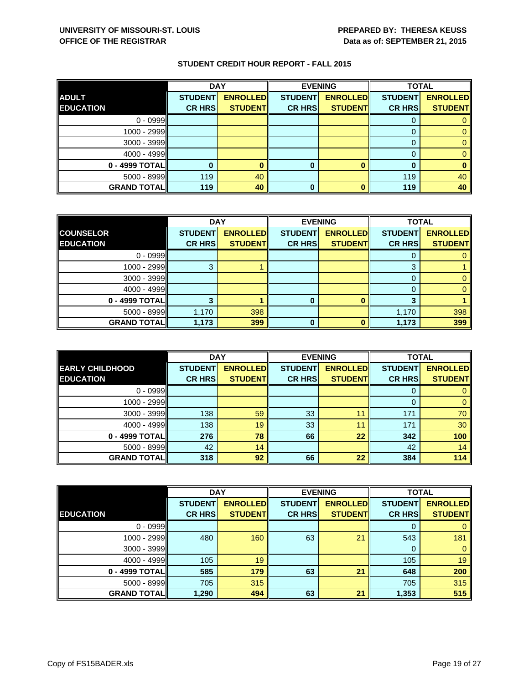|                    | <b>DAY</b>     |                 |                | <b>EVENING</b>  | <b>TOTAL</b>   |                 |
|--------------------|----------------|-----------------|----------------|-----------------|----------------|-----------------|
| <b>ADULT</b>       | <b>STUDENT</b> | <b>ENROLLED</b> | <b>STUDENT</b> | <b>ENROLLED</b> | <b>STUDENT</b> | <b>ENROLLED</b> |
| <b>EDUCATION</b>   | <b>CR HRS</b>  | <b>STUDENT</b>  | <b>CR HRS</b>  | <b>STUDENT</b>  | <b>CR HRS</b>  | <b>STUDENT</b>  |
| $0 - 0999$         |                |                 |                |                 | υ              |                 |
| 1000 - 2999        |                |                 |                |                 |                |                 |
| $3000 - 3999$      |                |                 |                |                 | 0              |                 |
| $4000 - 4999$      |                |                 |                |                 | 0              |                 |
| $0 - 4999$ TOTAL   |                |                 | 0              |                 |                |                 |
| $5000 - 8999$      | 119            | 40              |                |                 | 119            | 40              |
| <b>GRAND TOTAL</b> | 119            | 40              | 0              |                 | 119            | 40              |

|                    | <b>DAY</b>     |                 |                | <b>EVENING</b>  | <b>TOTAL</b>   |                 |
|--------------------|----------------|-----------------|----------------|-----------------|----------------|-----------------|
| <b>COUNSELOR</b>   | <b>STUDENT</b> | <b>ENROLLED</b> | <b>STUDENT</b> | <b>ENROLLED</b> | <b>STUDENT</b> | <b>ENROLLED</b> |
| <b>EDUCATION</b>   | <b>CR HRS</b>  | <b>STUDENT</b>  | <b>CR HRS</b>  | <b>STUDENT</b>  | <b>CR HRS</b>  | <b>STUDENT</b>  |
| $0 - 0999$         |                |                 |                |                 |                |                 |
| $1000 - 2999$      |                |                 |                |                 | 3              |                 |
| $3000 - 3999$      |                |                 |                |                 |                |                 |
| $4000 - 4999$      |                |                 |                |                 |                |                 |
| 0 - 4999 TOTAL     |                |                 | Ω              |                 |                |                 |
| $5000 - 8999$      | 1,170          | 398             |                |                 | 1,170          | 398             |
| <b>GRAND TOTAL</b> | 1,173          | 399             | 0              |                 | 1,173          | 399             |

|                        | <b>DAY</b>     |                 | <b>EVENING</b> |                 | <b>TOTAL</b>   |                 |
|------------------------|----------------|-----------------|----------------|-----------------|----------------|-----------------|
| <b>EARLY CHILDHOOD</b> | <b>STUDENT</b> | <b>ENROLLED</b> | <b>STUDENT</b> | <b>ENROLLED</b> | <b>STUDENT</b> | <b>ENROLLED</b> |
| <b>EDUCATION</b>       | <b>CR HRS</b>  | <b>STUDENT</b>  | <b>CR HRS</b>  | <b>STUDENT</b>  | <b>CR HRS</b>  | <b>STUDENT</b>  |
| $0 - 0999$             |                |                 |                |                 | O              |                 |
| 1000 - 2999            |                |                 |                |                 | 0              | 0               |
| 3000 - 3999            | 138            | 59              | 33             |                 | 171            | 70              |
| $4000 - 4999$          | 138            | 19              | 33             | 11              | 171            | 30              |
| 0 - 4999 TOTAL         | 276            | 78              | 66             | 22              | 342            | 100             |
| $5000 - 8999$          | 42             | 14              |                |                 | 42             | 14              |
| <b>GRAND TOTAL</b>     | 318            | 92              | 66             | 22              | 384            | 114             |

|                    | <b>DAY</b>     |                 | <b>EVENING</b> |                 | <b>TOTAL</b>   |                 |
|--------------------|----------------|-----------------|----------------|-----------------|----------------|-----------------|
|                    | <b>STUDENT</b> | <b>ENROLLED</b> | <b>STUDENT</b> | <b>ENROLLED</b> | <b>STUDENT</b> | <b>ENROLLED</b> |
| <b>EDUCATION</b>   | <b>CR HRS</b>  | <b>STUDENT</b>  | <b>CR HRS</b>  | <b>STUDENT</b>  | <b>CR HRS</b>  | <b>STUDENT</b>  |
| $0 - 0999$         |                |                 |                |                 |                |                 |
| $1000 - 2999$      | 480            | 160             | 63             | 21              | 543            | 181             |
| $3000 - 3999$      |                |                 |                |                 | 0              | 0               |
| 4000 - 4999        | 105            | 19              |                |                 | 105            | 19              |
| $0 - 4999$ TOTAL   | 585            | 179             | 63             | 21              | 648            | 200             |
| 5000 - 8999        | 705            | 315             |                |                 | 705            | 315             |
| <b>GRAND TOTAL</b> | 1,290          | 494             | 63             | 21              | 1,353          | 515             |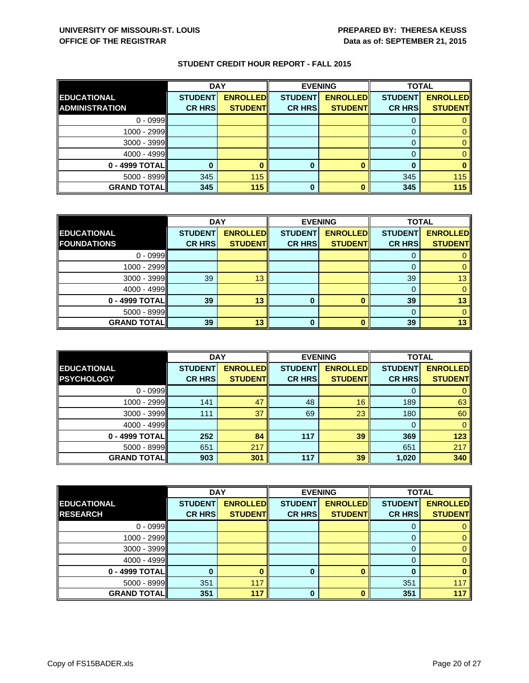|                       | <b>DAY</b>     |                 | <b>EVENING</b> |                 | <b>TOTAL</b>   |                 |
|-----------------------|----------------|-----------------|----------------|-----------------|----------------|-----------------|
| <b>EDUCATIONAL</b>    | <b>STUDENT</b> | <b>ENROLLED</b> | <b>STUDENT</b> | <b>ENROLLED</b> | <b>STUDENT</b> | <b>ENROLLED</b> |
| <b>ADMINISTRATION</b> | <b>CR HRS</b>  | <b>STUDENT</b>  | <b>CR HRS</b>  | <b>STUDENT</b>  | <b>CR HRS</b>  | <b>STUDENT</b>  |
| $0 - 0999$            |                |                 |                |                 |                |                 |
| $1000 - 2999$         |                |                 |                |                 |                |                 |
| $3000 - 3999$         |                |                 |                |                 |                |                 |
| $4000 - 4999$         |                |                 |                |                 |                |                 |
| 0 - 4999 TOTAL        |                |                 | 0              |                 |                |                 |
| $5000 - 8999$         | 345            | 115             |                |                 | 345            | 115             |
| <b>GRAND TOTAL</b>    | 345            | 115             | 0              |                 | 345            | 115             |

|                    | <b>DAY</b>     |                 | <b>EVENING</b> |                 | <b>TOTAL</b>   |                 |
|--------------------|----------------|-----------------|----------------|-----------------|----------------|-----------------|
| <b>EDUCATIONAL</b> | <b>STUDENT</b> | <b>ENROLLED</b> | <b>STUDENT</b> | <b>ENROLLED</b> | <b>STUDENT</b> | <b>ENROLLED</b> |
| <b>FOUNDATIONS</b> | <b>CR HRS</b>  | <b>STUDENT</b>  | <b>CR HRS</b>  | <b>STUDENT</b>  | <b>CR HRS</b>  | <b>STUDENT</b>  |
| $0 - 0999$         |                |                 |                |                 |                |                 |
| 1000 - 2999        |                |                 |                |                 |                |                 |
| $3000 - 3999$      | 39             | 13              |                |                 | 39             | 13              |
| 4000 - 4999        |                |                 |                |                 |                |                 |
| 0 - 4999 TOTAL     | 39             | 13              | 0              |                 | 39             | 13              |
| $5000 - 8999$      |                |                 |                |                 | 0              |                 |
| <b>GRAND TOTAL</b> | 39             | 13              | $\bf{0}$       |                 | 39             | 13              |

|                    | <b>DAY</b>     |                 | <b>EVENING</b> |                 | <b>TOTAL</b>   |                 |
|--------------------|----------------|-----------------|----------------|-----------------|----------------|-----------------|
| <b>EDUCATIONAL</b> | <b>STUDENT</b> | <b>ENROLLED</b> | <b>STUDENT</b> | <b>ENROLLED</b> | <b>STUDENT</b> | <b>ENROLLED</b> |
| <b>PSYCHOLOGY</b>  | <b>CR HRS</b>  | <b>STUDENT</b>  | <b>CR HRS</b>  | <b>STUDENT</b>  | <b>CR HRS</b>  | <b>STUDENT</b>  |
| $0 - 0999$         |                |                 |                |                 |                |                 |
| $1000 - 2999$      | 141            | 47              | 48             | 16              | 189            | 63              |
| $3000 - 3999$      | 111            | 37              | 69             | 23              | 180            | 60              |
| $4000 - 4999$      |                |                 |                |                 |                | $\Omega$        |
| 0 - 4999 TOTAL     | 252            | 84              | 117            | 39              | 369            | 123             |
| $5000 - 8999$      | 651            | 217             |                |                 | 651            | 217             |
| <b>GRAND TOTAL</b> | 903            | 301             | 117            | 39              | 1,020          | 340             |

|                    | <b>DAY</b>     |                 |                | <b>EVENING</b>  | <b>TOTAL</b>   |                 |
|--------------------|----------------|-----------------|----------------|-----------------|----------------|-----------------|
| <b>EDUCATIONAL</b> | <b>STUDENT</b> | <b>ENROLLED</b> | <b>STUDENT</b> | <b>ENROLLED</b> | <b>STUDENT</b> | <b>ENROLLED</b> |
| <b>RESEARCH</b>    | <b>CR HRS</b>  | <b>STUDENT</b>  | <b>CR HRS</b>  | <b>STUDENT</b>  | <b>CR HRS</b>  | <b>STUDENT</b>  |
| $0 - 0999$         |                |                 |                |                 |                |                 |
| $1000 - 2999$      |                |                 |                |                 |                |                 |
| $3000 - 3999$      |                |                 |                |                 | O              |                 |
| 4000 - 4999        |                |                 |                |                 |                |                 |
| $0 - 4999$ TOTAL   |                |                 | 0              |                 | 0              |                 |
| $5000 - 8999$      | 351            | 117             |                |                 | 351            | 117             |
| <b>GRAND TOTAL</b> | 351            | 117             | ŋ              |                 | 351            | 117             |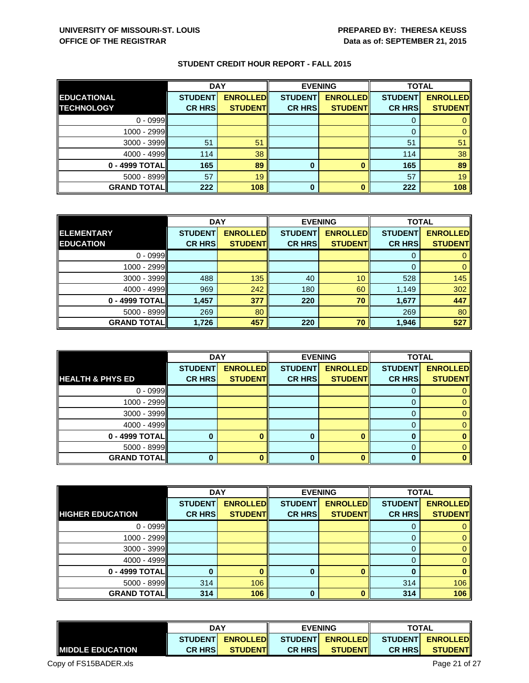|                    | <b>DAY</b>     |                 |                | <b>EVENING</b>  | <b>TOTAL</b>   |                 |
|--------------------|----------------|-----------------|----------------|-----------------|----------------|-----------------|
| <b>EDUCATIONAL</b> | <b>STUDENT</b> | <b>ENROLLED</b> | <b>STUDENT</b> | <b>ENROLLED</b> | <b>STUDENT</b> | <b>ENROLLED</b> |
| <b>TECHNOLOGY</b>  | <b>CR HRS</b>  | <b>STUDENT</b>  | <b>CR HRS</b>  | <b>STUDENT</b>  | <b>CR HRS</b>  | <b>STUDENT</b>  |
| $0 - 0999$         |                |                 |                |                 |                |                 |
| $1000 - 2999$      |                |                 |                |                 |                |                 |
| 3000 - 3999        | 51             | 51              |                |                 | 51             | 51              |
| $4000 - 4999$      | 114            | 38              |                |                 | 114            | 38              |
| 0 - 4999 TOTAL     | 165            | 89              | 0              |                 | 165            | 89              |
| $5000 - 8999$      | 57             | 19              |                |                 | 57             | 19              |
| <b>GRAND TOTAL</b> | 222            | 108             | 0              |                 | 222            | 108             |

|                    | <b>DAY</b>     |                 | <b>EVENING</b> |                 | <b>TOTAL</b>   |                 |
|--------------------|----------------|-----------------|----------------|-----------------|----------------|-----------------|
| <b>ELEMENTARY</b>  | <b>STUDENT</b> | <b>ENROLLED</b> | <b>STUDENT</b> | <b>ENROLLED</b> | <b>STUDENT</b> | <b>ENROLLED</b> |
| <b>EDUCATION</b>   | <b>CR HRS</b>  | <b>STUDENT</b>  | <b>CR HRS</b>  | <b>STUDENT</b>  | <b>CR HRS</b>  | <b>STUDENT</b>  |
| $0 - 0999$         |                |                 |                |                 |                |                 |
| $1000 - 2999$      |                |                 |                |                 |                |                 |
| $3000 - 3999$      | 488            | 135             | 40             | 10              | 528            | 145             |
| $4000 - 4999$      | 969            | 242             | 180            | 60              | 1,149          | 302             |
| $0 - 4999$ TOTAL   | 1,457          | 377             | 220            | 70              | 1,677          | 447             |
| $5000 - 8999$      | 269            | 80              |                |                 | 269            | 80              |
| <b>GRAND TOTAL</b> | 1,726          | 457             | 220            | 70              | 1,946          | 527             |

|                             | <b>DAY</b>     |                 | <b>EVENING</b> |                 | <b>TOTAL</b>   |                 |
|-----------------------------|----------------|-----------------|----------------|-----------------|----------------|-----------------|
|                             | <b>STUDENT</b> | <b>ENROLLED</b> | <b>STUDENT</b> | <b>ENROLLED</b> | <b>STUDENT</b> | <b>ENROLLED</b> |
| <b>HEALTH &amp; PHYS ED</b> | <b>CR HRS</b>  | <b>STUDENT</b>  | <b>CR HRS</b>  | <b>STUDENT</b>  | <b>CR HRS</b>  | <b>STUDENT</b>  |
| $0 - 0999$                  |                |                 |                |                 |                |                 |
| $1000 - 2999$               |                |                 |                |                 |                |                 |
| $3000 - 3999$               |                |                 |                |                 | 0              |                 |
| $4000 - 4999$               |                |                 |                |                 | 0              |                 |
| 0 - 4999 TOTAL              |                |                 | 0              |                 |                |                 |
| $5000 - 8999$               |                |                 |                |                 | 0              |                 |
| <b>GRAND TOTAL</b>          |                |                 | 0              |                 |                |                 |

|                         | <b>DAY</b>     |                 | <b>EVENING</b> |                 | <b>TOTAL</b>   |                 |
|-------------------------|----------------|-----------------|----------------|-----------------|----------------|-----------------|
|                         | <b>STUDENT</b> | <b>ENROLLED</b> | <b>STUDENT</b> | <b>ENROLLED</b> | <b>STUDENT</b> | <b>ENROLLED</b> |
| <b>HIGHER EDUCATION</b> | <b>CR HRS</b>  | <b>STUDENT</b>  | <b>CR HRS</b>  | <b>STUDENT</b>  | <b>CR HRS</b>  | <b>STUDENT</b>  |
| $0 - 0999$              |                |                 |                |                 |                |                 |
| $1000 - 2999$           |                |                 |                |                 |                |                 |
| $3000 - 3999$           |                |                 |                |                 | O              |                 |
| $4000 - 4999$           |                |                 |                |                 |                |                 |
| 0 - 4999 TOTAL          |                |                 | 0              |                 | 0              |                 |
| $5000 - 8999$           | 314            | 106             |                |                 | 314            | 106             |
| <b>GRAND TOTAL</b>      | 314            | 106             | $\Omega$       |                 | 314            | 106             |

|                          | <b>DAY</b>      |                  | <b>EVENING</b> |                  | <b>TOTAL</b>   |                  |
|--------------------------|-----------------|------------------|----------------|------------------|----------------|------------------|
|                          | <b>STUDENTI</b> | <b>ENROLLEDI</b> |                | STUDENT ENROLLED |                | STUDENT ENROLLED |
| <b>IMIDDLE EDUCATION</b> | <b>CR HRSI</b>  | <b>STUDENTI</b>  | <b>CR HRSI</b> | <b>STUDENTI</b>  | <b>CR HRSI</b> | <b>STUDENTI</b>  |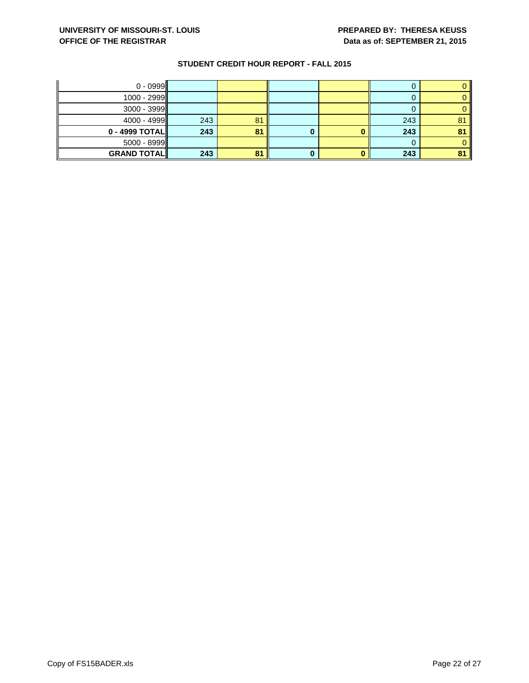| $0 - 0999$         |     |    |   |     |    |
|--------------------|-----|----|---|-----|----|
| $1000 - 2999$      |     |    |   |     |    |
| $3000 - 3999$      |     |    |   |     |    |
| $4000 - 4999$      | 243 | 81 |   | 243 | 81 |
| $0 - 4999$ TOTAL   | 243 | 81 |   | 243 |    |
| $5000 - 8999$      |     |    |   | U   |    |
| <b>GRAND TOTAL</b> | 243 | 81 | U | 243 |    |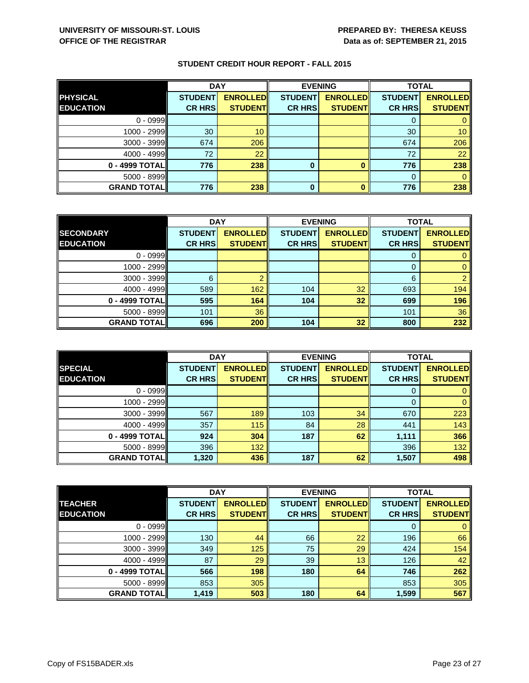|                    | <b>DAY</b>     |                 |                | <b>EVENING</b>  | <b>TOTAL</b>   |                 |
|--------------------|----------------|-----------------|----------------|-----------------|----------------|-----------------|
| <b>PHYSICAL</b>    | <b>STUDENT</b> | <b>ENROLLED</b> | <b>STUDENT</b> | <b>ENROLLED</b> | <b>STUDENT</b> | <b>ENROLLED</b> |
| <b>EDUCATION</b>   | <b>CR HRS</b>  | <b>STUDENT</b>  | <b>CR HRS</b>  | <b>STUDENT</b>  | <b>CR HRS</b>  | <b>STUDENT</b>  |
| $0 - 0999$         |                |                 |                |                 |                |                 |
| $1000 - 2999$      | 30             | 10              |                |                 | 30             | 10 <sup>1</sup> |
| $3000 - 3999$      | 674            | 206             |                |                 | 674            | 206             |
| $4000 - 4999$      | 72             | 22              |                |                 | 72             | 22              |
| 0 - 4999 TOTAL     | 776            | 238             | $\bf{0}$       |                 | 776            | 238             |
| $5000 - 8999$      |                |                 |                |                 |                |                 |
| <b>GRAND TOTAL</b> | 776            | 238             | 0              |                 | 776            | 238             |

|                    | <b>DAY</b>     |                 | <b>EVENING</b> |                 | <b>TOTAL</b>   |                 |
|--------------------|----------------|-----------------|----------------|-----------------|----------------|-----------------|
| <b>SECONDARY</b>   | <b>STUDENT</b> | <b>ENROLLED</b> | <b>STUDENT</b> | <b>ENROLLED</b> | <b>STUDENT</b> | <b>ENROLLED</b> |
| <b>EDUCATION</b>   | <b>CR HRS</b>  | <b>STUDENT</b>  | <b>CR HRS</b>  | <b>STUDENT</b>  | <b>CR HRS</b>  | <b>STUDENT</b>  |
| $0 - 0999$         |                |                 |                |                 |                |                 |
| $1000 - 2999$      |                |                 |                |                 | O              |                 |
| $3000 - 3999$      | 6              |                 |                |                 | 6              |                 |
| $4000 - 4999$      | 589            | 162             | 104            | 32              | 693            | 194             |
| 0 - 4999 TOTAL     | 595            | 164             | 104            | 32              | 699            | 196             |
| $5000 - 8999$      | 101            | 36              |                |                 | 101            | 36              |
| <b>GRAND TOTAL</b> | 696            | 200             | 104            | 32              | 800            | 232             |

|                    | <b>DAY</b>     |                 |                | <b>EVENING</b>  | <b>TOTAL</b>   |                 |
|--------------------|----------------|-----------------|----------------|-----------------|----------------|-----------------|
| <b>SPECIAL</b>     | <b>STUDENT</b> | <b>ENROLLED</b> | <b>STUDENT</b> | <b>ENROLLED</b> | <b>STUDENT</b> | <b>ENROLLED</b> |
| <b>EDUCATION</b>   | <b>CR HRS</b>  | <b>STUDENT</b>  | <b>CR HRS</b>  | <b>STUDENT</b>  | <b>CR HRS</b>  | <b>STUDENT</b>  |
| $0 - 0999$         |                |                 |                |                 |                |                 |
| $1000 - 2999$      |                |                 |                |                 | 0              | 0               |
| $3000 - 3999$      | 567            | 189             | 103            | 34              | 670            | 223             |
| $4000 - 4999$      | 357            | 115             | 84             | 28              | 441            | 143             |
| 0 - 4999 TOTAL     | 924            | 304             | 187            | 62              | 1,111          | 366             |
| $5000 - 8999$      | 396            | 132             |                |                 | 396            | 132             |
| <b>GRAND TOTAL</b> | 1,320          | 436             | 187            | 62              | 1,507          | 498             |

|                    | <b>DAY</b>     |                 |                | <b>EVENING</b>  | <b>TOTAL</b>   |                 |
|--------------------|----------------|-----------------|----------------|-----------------|----------------|-----------------|
| <b>TEACHER</b>     | <b>STUDENT</b> | <b>ENROLLED</b> | <b>STUDENT</b> | <b>ENROLLED</b> | <b>STUDENT</b> | <b>ENROLLED</b> |
| <b>EDUCATION</b>   | <b>CR HRS</b>  | <b>STUDENT</b>  | <b>CR HRS</b>  | <b>STUDENT</b>  | <b>CR HRS</b>  | <b>STUDENT</b>  |
| $0 - 0999$         |                |                 |                |                 |                | 0               |
| $1000 - 2999$      | 130            | 44              | 66             | 22              | 196            | 66              |
| 3000 - 3999        | 349            | 125             | 75             | 29              | 424            | 154             |
| 4000 - 4999        | 87             | 29              | 39             | 13              | 126            | 42              |
| $0 - 4999$ TOTAL   | 566            | 198             | 180            | 64              | 746            | 262             |
| 5000 - 8999        | 853            | 305             |                |                 | 853            | 305             |
| <b>GRAND TOTAL</b> | 1,419          | 503             | 180            | 64              | 1,599          | 567             |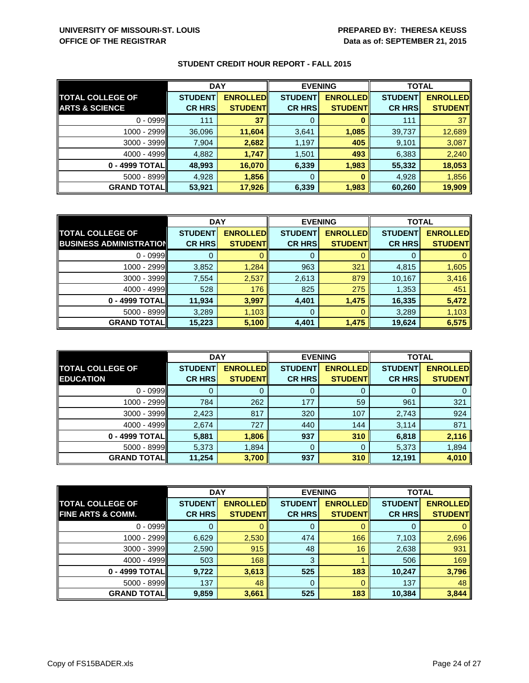|                           | <b>DAY</b>     |                 | <b>EVENING</b> |                 | <b>TOTAL</b>   |                 |
|---------------------------|----------------|-----------------|----------------|-----------------|----------------|-----------------|
| <b>TOTAL COLLEGE OF</b>   | <b>STUDENT</b> | <b>ENROLLED</b> | <b>STUDENT</b> | <b>ENROLLED</b> | <b>STUDENT</b> | <b>ENROLLED</b> |
| <b>ARTS &amp; SCIENCE</b> | <b>CR HRS</b>  | <b>STUDENT</b>  | <b>CR HRS</b>  | <b>STUDENT</b>  | <b>CR HRS</b>  | <b>STUDENT</b>  |
| $0 - 0999$                | 111            | 37              | 0              |                 | 111            | 37              |
| 1000 - 2999               | 36,096         | 11,604          | 3,641          | 1,085           | 39,737         | 12,689          |
| $3000 - 3999$             | 7,904          | 2,682           | 1,197          | 405             | 9,101          | 3,087           |
| $4000 - 4999$             | 4,882          | 1,747           | 1,501          | 493             | 6,383          | 2,240           |
| $0 - 4999$ TOTAL          | 48,993         | 16,070          | 6,339          | 1,983           | 55,332         | 18,053          |
| $5000 - 8999$             | 4,928          | 1,856           | 0              |                 | 4,928          | 1,856           |
| <b>GRAND TOTAL</b>        | 53,921         | 17,926          | 6,339          | 1,983           | 60,260         | 19,909          |

|                                | <b>DAY</b>     |                 | <b>EVENING</b> |                 | <b>TOTAL</b>   |                 |
|--------------------------------|----------------|-----------------|----------------|-----------------|----------------|-----------------|
| <b>TOTAL COLLEGE OF</b>        | <b>STUDENT</b> | <b>ENROLLED</b> | <b>STUDENT</b> | <b>ENROLLED</b> | <b>STUDENT</b> | <b>ENROLLED</b> |
| <b>BUSINESS ADMINISTRATION</b> | <b>CR HRS</b>  | <b>STUDENT</b>  | <b>CR HRS</b>  | <b>STUDENT</b>  | <b>CR HRS</b>  | <b>STUDENT</b>  |
| $0 - 0999$                     |                |                 | 0              |                 |                |                 |
| $1000 - 2999$                  | 3,852          | 1,284           | 963            | 321             | 4,815          | 1,605           |
| $3000 - 3999$                  | 7,554          | 2,537           | 2,613          | 879             | 10,167         | 3,416           |
| $4000 - 4999$                  | 528            | 176             | 825            | 275             | 1,353          | 451             |
| 0 - 4999 TOTAL                 | 11,934         | 3,997           | 4,401          | 1,475           | 16,335         | 5,472           |
| $5000 - 8999$                  | 3,289          | 1,103           | 0              |                 | 3,289          | 1,103           |
| <b>GRAND TOTAL</b>             | 15,223         | 5,100           | 4,401          | 1,475           | 19,624         | 6,575           |

|                         | <b>DAY</b>     |                 | <b>EVENING</b> |                 | <b>TOTAL</b>   |                 |
|-------------------------|----------------|-----------------|----------------|-----------------|----------------|-----------------|
| <b>TOTAL COLLEGE OF</b> | <b>STUDENT</b> | <b>ENROLLED</b> | <b>STUDENT</b> | <b>ENROLLED</b> | <b>STUDENT</b> | <b>ENROLLED</b> |
| <b>EDUCATION</b>        | <b>CR HRS</b>  | <b>STUDENT</b>  | <b>CR HRS</b>  | <b>STUDENT</b>  | <b>CR HRS</b>  | <b>STUDENT</b>  |
| $0 - 0999$              |                | O               | 0              |                 |                |                 |
| $1000 - 2999$           | 784            | 262             | 177            | 59              | 961            | 321             |
| $3000 - 3999$           | 2,423          | 817             | 320            | 107             | 2,743          | 924             |
| $4000 - 4999$           | 2,674          | 727             | 440            | 144             | 3,114          | 871             |
| $0 - 4999$ TOTAL        | 5,881          | 1,806           | 937            | 310             | 6,818          | 2,116           |
| $5000 - 8999$           | 5,373          | 1,894           | 0              | 0               | 5,373          | 1,894           |
| <b>GRAND TOTAL</b>      | 11,254         | 3,700           | 937            | 310             | 12,191         | 4,010           |

|                              | <b>DAY</b>     |                 |                | <b>EVENING</b>  | <b>TOTAL</b>   |                 |
|------------------------------|----------------|-----------------|----------------|-----------------|----------------|-----------------|
| <b>TOTAL COLLEGE OF</b>      | <b>STUDENT</b> | <b>ENROLLED</b> | <b>STUDENT</b> | <b>ENROLLED</b> | <b>STUDENT</b> | <b>ENROLLED</b> |
| <b>FINE ARTS &amp; COMM.</b> | <b>CR HRS</b>  | <b>STUDENT</b>  | <b>CR HRS</b>  | <b>STUDENT</b>  | <b>CR HRS</b>  | <b>STUDENT</b>  |
| $0 - 0999$                   |                |                 | 0              |                 |                |                 |
| $1000 - 2999$                | 6,629          | 2,530           | 474            | 166             | 7,103          | 2,696           |
| $3000 - 3999$                | 2,590          | 915             | 48             | 16              | 2,638          | 931             |
| $4000 - 4999$                | 503            | 168             | 3              |                 | 506            | 169             |
| $0 - 4999$ TOTAL             | 9,722          | 3,613           | 525            | 183             | 10,247         | 3,796           |
| $5000 - 8999$                | 137            | 48              | 0              |                 | 137            | 48              |
| <b>GRAND TOTAL</b>           | 9,859          | 3,661           | 525            | 183             | 10,384         | 3,844           |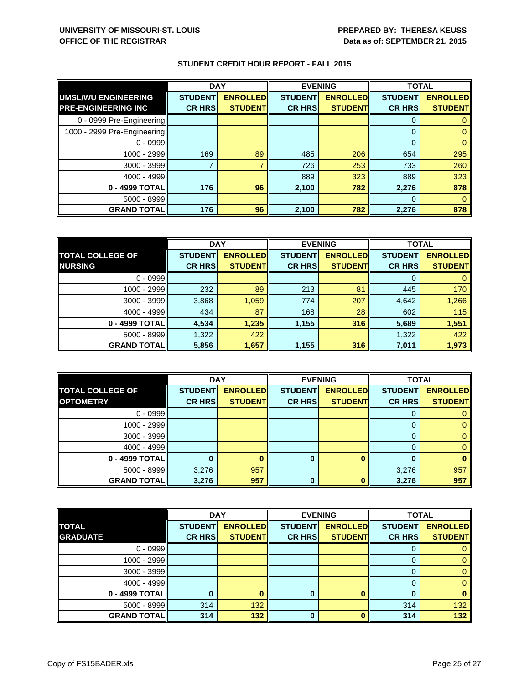|                             | <b>DAY</b>     |                 | <b>EVENING</b> |                 | <b>TOTAL</b>   |                 |
|-----------------------------|----------------|-----------------|----------------|-----------------|----------------|-----------------|
| UMSL/WU ENGINEERING         | <b>STUDENT</b> | <b>ENROLLED</b> | <b>STUDENT</b> | <b>ENROLLED</b> | <b>STUDENT</b> | <b>ENROLLED</b> |
| <b>PRE-ENGINEERING INC</b>  | <b>CR HRS</b>  | <b>STUDENT</b>  | <b>CR HRS</b>  | <b>STUDENT</b>  | <b>CR HRS</b>  | <b>STUDENT</b>  |
| 0 - 0999 Pre-Engineering    |                |                 |                |                 | 0              |                 |
| 1000 - 2999 Pre-Engineering |                |                 |                |                 | 0              |                 |
| $0 - 0999$                  |                |                 |                |                 | $\Omega$       |                 |
| 1000 - 2999                 | 169            | 89              | 485            | 206             | 654            | 295             |
| 3000 - 3999                 |                |                 | 726            | 253             | 733            | 260             |
| 4000 - 4999                 |                |                 | 889            | 323             | 889            | 323             |
| 0 - 4999 TOTAL              | 176            | 96              | 2,100          | 782             | 2,276          | 878             |
| $5000 - 8999$               |                |                 |                |                 | $\Omega$       |                 |
| <b>GRAND TOTAL</b>          | 176            | 96              | 2,100          | 782             | 2,276          | 878             |

|                         | <b>DAY</b>     |                 | <b>EVENING</b> |                 | <b>TOTAL</b>   |                 |
|-------------------------|----------------|-----------------|----------------|-----------------|----------------|-----------------|
| <b>TOTAL COLLEGE OF</b> | <b>STUDENT</b> | <b>ENROLLED</b> | <b>STUDENT</b> | <b>ENROLLED</b> | <b>STUDENT</b> | <b>ENROLLED</b> |
| <b>NURSING</b>          | <b>CR HRS</b>  | <b>STUDENT</b>  | <b>CR HRS</b>  | <b>STUDENT</b>  | <b>CR HRS</b>  | <b>STUDENT</b>  |
| $0 - 0999$              |                |                 |                |                 |                |                 |
| $1000 - 2999$           | 232            | 89              | 213            | 81              | 445            | 170             |
| $3000 - 3999$           | 3,868          | 1,059           | 774            | 207             | 4,642          | 1,266           |
| $4000 - 4999$           | 434            | 87              | 168            | 28              | 602            | 115             |
| $0 - 4999$ TOTAL        | 4,534          | 1,235           | 1,155          | 316             | 5,689          | 1,551           |
| $5000 - 8999$           | 1,322          | 422             |                |                 | 1,322          | 422             |
| <b>GRAND TOTAL</b>      | 5,856          | 1,657           | 1,155          | 316             | 7,011          | 1,973           |

|                         | <b>DAY</b>     |                 |                | <b>EVENING</b>  | <b>TOTAL</b>   |                 |
|-------------------------|----------------|-----------------|----------------|-----------------|----------------|-----------------|
| <b>TOTAL COLLEGE OF</b> | <b>STUDENT</b> | <b>ENROLLED</b> | <b>STUDENT</b> | <b>ENROLLED</b> | <b>STUDENT</b> | <b>ENROLLED</b> |
| <b>OPTOMETRY</b>        | <b>CR HRS</b>  | <b>STUDENT</b>  | <b>CR HRS</b>  | <b>STUDENT</b>  | <b>CR HRS</b>  | <b>STUDENT</b>  |
| $0 - 0999$              |                |                 |                |                 |                |                 |
| $1000 - 2999$           |                |                 |                |                 |                |                 |
| $3000 - 3999$           |                |                 |                |                 |                |                 |
| $4000 - 4999$           |                |                 |                |                 |                |                 |
| $0 - 4999$ TOTAL        |                |                 | 0              |                 |                |                 |
| $5000 - 8999$           | 3,276          | 957             |                |                 | 3,276          | 957             |
| <b>GRAND TOTAL</b>      | 3,276          | 957             | 0              |                 | 3,276          | 957             |

| <b>DAY</b>         |                |                 | <b>EVENING</b> | <b>TOTAL</b>    |                |                 |
|--------------------|----------------|-----------------|----------------|-----------------|----------------|-----------------|
| <b>TOTAL</b>       | <b>STUDENT</b> | <b>ENROLLED</b> | <b>STUDENT</b> | <b>ENROLLED</b> | <b>STUDENT</b> | <b>ENROLLED</b> |
| <b>GRADUATE</b>    | <b>CR HRS</b>  | <b>STUDENT</b>  | <b>CR HRS</b>  | <b>STUDENT</b>  | <b>CR HRS</b>  | <b>STUDENT</b>  |
| $0 - 0999$         |                |                 |                |                 |                |                 |
| $1000 - 2999$      |                |                 |                |                 |                |                 |
| 3000 - 3999        |                |                 |                |                 |                |                 |
| 4000 - 4999        |                |                 |                |                 |                |                 |
| 0 - 4999 TOTAL     |                |                 | 0              |                 | ŋ              |                 |
| $5000 - 8999$      | 314            | 132             |                |                 | 314            | 132             |
| <b>GRAND TOTAL</b> | 314            | 132             | 0              |                 | 314            | 132             |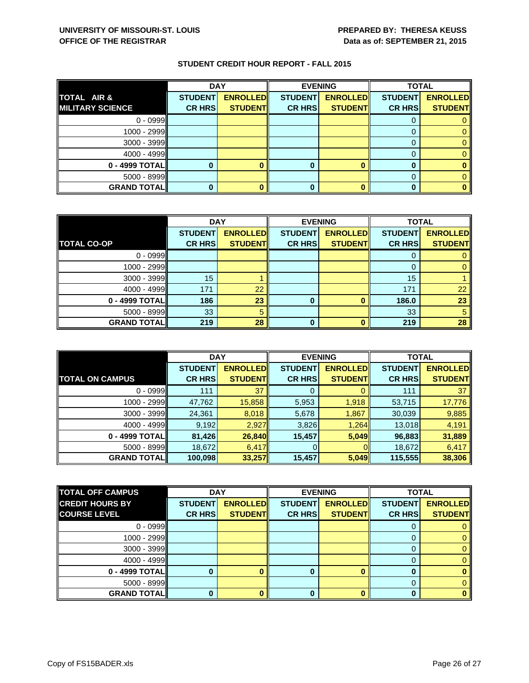|                         | <b>DAY</b>     |                 | <b>EVENING</b> |                 | <b>TOTAL</b>   |                 |
|-------------------------|----------------|-----------------|----------------|-----------------|----------------|-----------------|
| <b>TOTAL AIR &amp;</b>  | <b>STUDENT</b> | <b>ENROLLED</b> | <b>STUDENT</b> | <b>ENROLLED</b> | <b>STUDENT</b> | <b>ENROLLED</b> |
| <b>MILITARY SCIENCE</b> | <b>CR HRS</b>  | <b>STUDENT</b>  | <b>CR HRS</b>  | <b>STUDENT</b>  | <b>CR HRS</b>  | <b>STUDENT</b>  |
| $0 - 0999$              |                |                 |                |                 |                |                 |
| $1000 - 2999$           |                |                 |                |                 |                |                 |
| $3000 - 3999$           |                |                 |                |                 |                |                 |
| $4000 - 4999$           |                |                 |                |                 |                |                 |
| $0 - 4999$ TOTAL        |                |                 |                |                 | O              |                 |
| $5000 - 8999$           |                |                 |                |                 |                |                 |
| <b>GRAND TOTAL</b>      |                |                 |                |                 |                |                 |

|                    | <b>DAY</b>      |                 | <b>EVENING</b> |                 | <b>TOTAL</b>   |                 |
|--------------------|-----------------|-----------------|----------------|-----------------|----------------|-----------------|
|                    | <b>STUDENT</b>  | <b>ENROLLED</b> | <b>STUDENT</b> | <b>ENROLLED</b> | <b>STUDENT</b> | <b>ENROLLED</b> |
| <b>TOTAL CO-OP</b> | <b>CR HRS</b>   | <b>STUDENT</b>  | <b>CR HRS</b>  | <b>STUDENT</b>  | <b>CR HRS</b>  | <b>STUDENT</b>  |
| $0 - 0999$         |                 |                 |                |                 | $\Gamma$       |                 |
| $1000 - 2999$      |                 |                 |                |                 |                |                 |
| $3000 - 3999$      | 15 <sub>1</sub> |                 |                |                 | 15             |                 |
| $4000 - 4999$      | 171             | 22              |                |                 | 171            | 22              |
| $0 - 4999$ TOTAL   | 186             | 23              | 0              |                 | 186.0          | 23              |
| $5000 - 8999$      | 33              | 5               |                |                 | 33             |                 |
| <b>GRAND TOTAL</b> | 219             | 28              | 0              |                 | 219            | 28              |

|                        | <b>DAY</b>     |                 |                | <b>EVENING</b>  | <b>TOTAL</b>   |                 |
|------------------------|----------------|-----------------|----------------|-----------------|----------------|-----------------|
|                        | <b>STUDENT</b> | <b>ENROLLED</b> | <b>STUDENT</b> | <b>ENROLLED</b> | <b>STUDENT</b> | <b>ENROLLED</b> |
| <b>TOTAL ON CAMPUS</b> | <b>CR HRS</b>  | <b>STUDENT</b>  | <b>CR HRS</b>  | <b>STUDENT</b>  | <b>CR HRS</b>  | <b>STUDENT</b>  |
| $0 - 0999$             | 111            | 37              | 0              |                 | 111            | 37              |
| 1000 - 2999            | 47,762         | 15,858          | 5,953          | 1,918           | 53,715         | 17,776          |
| $3000 - 3999$          | 24,361         | 8,018           | 5,678          | 1,867           | 30,039         | 9,885           |
| $4000 - 4999$          | 9,192          | 2,927           | 3,826          | 1,264           | 13,018         | 4,191           |
| 0 - 4999 TOTAL         | 81,426         | 26,840          | 15,457         | 5,049           | 96,883         | 31,889          |
| $5000 - 8999$          | 18,672         | 6,417           |                | OII             | 18,672         | 6,417           |
| <b>GRAND TOTAL</b>     | 100,098        | 33,257          | 15,457         | 5,049           | 115,555        | 38,306          |

| <b>TOTAL OFF CAMPUS</b> | <b>DAY</b>     |                 |                | <b>EVENING</b>  | <b>TOTAL</b>   |                 |
|-------------------------|----------------|-----------------|----------------|-----------------|----------------|-----------------|
| <b>CREDIT HOURS BY</b>  | <b>STUDENT</b> | <b>ENROLLED</b> | <b>STUDENT</b> | <b>ENROLLED</b> | <b>STUDENT</b> | <b>ENROLLED</b> |
| <b>COURSE LEVEL</b>     | <b>CR HRS</b>  | <b>STUDENT</b>  | <b>CR HRS</b>  | <b>STUDENT</b>  | <b>CR HRS</b>  | <b>STUDENT</b>  |
| $0 - 0999$              |                |                 |                |                 |                |                 |
| $1000 - 2999$           |                |                 |                |                 |                |                 |
| $3000 - 3999$           |                |                 |                |                 |                |                 |
| $4000 - 4999$           |                |                 |                |                 |                |                 |
| $0 - 4999$ TOTAL        |                |                 | Ω              |                 |                |                 |
| $5000 - 8999$           |                |                 |                |                 |                |                 |
| <b>GRAND TOTAL</b>      |                |                 |                |                 |                |                 |